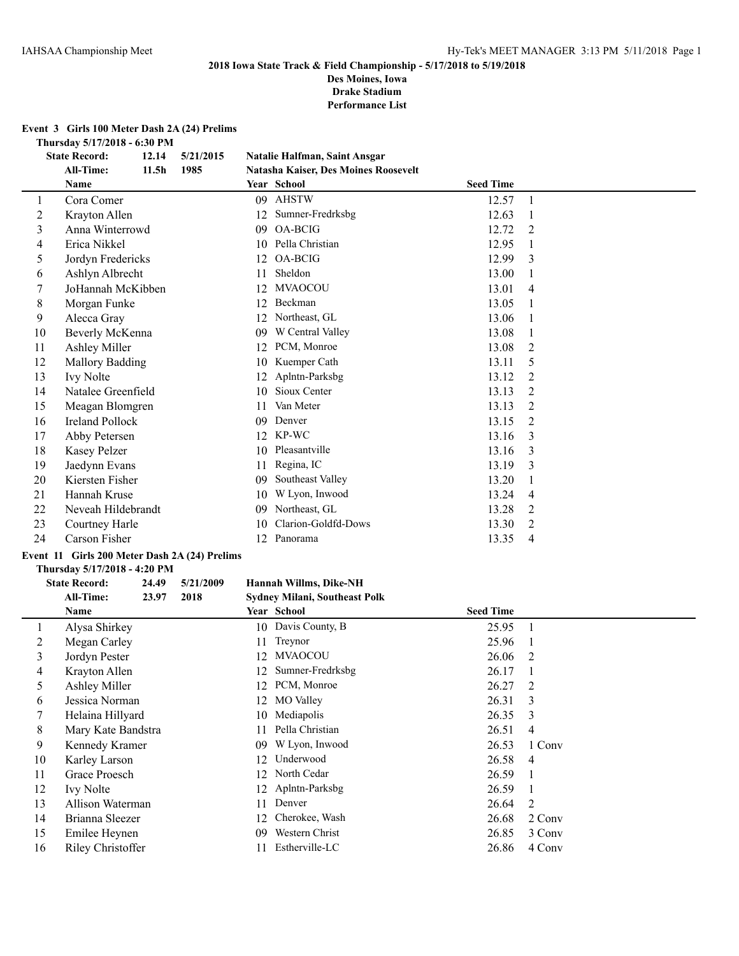**Des Moines, Iowa Drake Stadium**

**Performance List**

## **Event 3 Girls 100 Meter Dash 2A (24) Prelims**

**Thursday 5/17/2018 - 6:30 PM**

| <b>State Record:</b><br>12.14<br>5/21/2015<br><b>Natalie Halfman, Saint Ansgar</b> |                                                         |      |    |                                      |                  |   |
|------------------------------------------------------------------------------------|---------------------------------------------------------|------|----|--------------------------------------|------------------|---|
|                                                                                    | All-Time:<br>11.5 <sub>h</sub>                          | 1985 |    | Natasha Kaiser, Des Moines Roosevelt |                  |   |
|                                                                                    | Name                                                    |      |    | Year School                          | <b>Seed Time</b> |   |
| 1                                                                                  | Cora Comer                                              |      | 09 | <b>AHSTW</b>                         | 12.57            | 1 |
| 2                                                                                  | Krayton Allen                                           |      | 12 | Sumner-Fredrksbg                     | 12.63            |   |
| 3                                                                                  | Anna Winterrowd                                         |      | 09 | OA-BCIG                              | 12.72            | 2 |
| 4                                                                                  | Erica Nikkel                                            |      | 10 | Pella Christian                      | 12.95            |   |
| 5                                                                                  | Jordyn Fredericks                                       |      | 12 | <b>OA-BCIG</b>                       | 12.99            | 3 |
| 6                                                                                  | Ashlyn Albrecht                                         |      | 11 | Sheldon                              | 13.00            |   |
| 7                                                                                  | JoHannah McKibben                                       |      | 12 | <b>MVAOCOU</b>                       | 13.01            | 4 |
| 8                                                                                  | Morgan Funke                                            |      | 12 | Beckman                              | 13.05            |   |
| 9                                                                                  | Alecca Gray                                             |      | 12 | Northeast, GL                        | 13.06            |   |
| 10                                                                                 | Beverly McKenna                                         |      | 09 | W Central Valley                     | 13.08            |   |
| 11                                                                                 | <b>Ashley Miller</b>                                    |      | 12 | PCM, Monroe                          | 13.08            | 2 |
| 12                                                                                 | <b>Mallory Badding</b>                                  |      | 10 | Kuemper Cath                         | 13.11            | 5 |
| 13                                                                                 | <b>Ivy Nolte</b>                                        |      | 12 | Aplntn-Parksbg                       | 13.12            | 2 |
| 14                                                                                 | Natalee Greenfield                                      |      | 10 | Sioux Center                         | 13.13            | 2 |
| 15                                                                                 | Meagan Blomgren                                         |      | 11 | Van Meter                            | 13.13            | 2 |
| 16                                                                                 | <b>Ireland Pollock</b>                                  |      | 09 | Denver                               | 13.15            | 2 |
| 17                                                                                 | Abby Petersen                                           |      | 12 | KP-WC                                | 13.16            | 3 |
| 18                                                                                 | <b>Kasey Pelzer</b>                                     |      | 10 | Pleasantville                        | 13.16            | 3 |
| 19                                                                                 | Jaedynn Evans                                           |      | 11 | Regina, IC                           | 13.19            | 3 |
| 20                                                                                 | Kiersten Fisher                                         |      | 09 | Southeast Valley                     | 13.20            |   |
| 21                                                                                 | Hannah Kruse                                            |      | 10 | W Lyon, Inwood                       | 13.24            | 4 |
| 22                                                                                 | Neveah Hildebrandt                                      |      | 09 | Northeast, GL                        | 13.28            | 2 |
| 23                                                                                 | Courtney Harle                                          |      | 10 | Clarion-Goldfd-Dows                  | 13.30            | 2 |
| 24                                                                                 | Carson Fisher                                           |      | 12 | Panorama                             | 13.35            | 4 |
|                                                                                    | $\sim$ $\sim$ $\sim$ $\sim$ $\sim$ $\sim$ $\sim$ $\sim$ |      |    |                                      |                  |   |

# **Event 11 Girls 200 Meter Dash 2A (24) Prelims**

## **Thursday 5/17/2018 - 4:20 PM**

# **State Record: 24.49 5/21/2009 Hannah Willms, Dike-NH**

|    | All-Time:<br>23.97 | 2018 | <b>Sydney Milani, Southeast Polk</b> |                  |                |
|----|--------------------|------|--------------------------------------|------------------|----------------|
|    | Name               |      | Year School                          | <b>Seed Time</b> |                |
|    | Alysa Shirkey      |      | 10 Davis County, B                   | 25.95            |                |
| 2  | Megan Carley       | 11   | Treynor                              | 25.96            |                |
| 3  | Jordyn Pester      | 12   | <b>MVAOCOU</b>                       | 26.06            | - 2            |
| 4  | Krayton Allen      | 12   | Sumner-Fredrksbg                     | 26.17            |                |
| 5  | Ashley Miller      | 12   | PCM, Monroe                          | 26.27            | - 2            |
| 6  | Jessica Norman     | 12   | <b>MO</b> Valley                     | 26.31            | 3              |
|    | Helaina Hillyard   | 10   | Mediapolis                           | 26.35            | 3              |
| 8  | Mary Kate Bandstra | 11   | Pella Christian                      | 26.51            | 4              |
| 9  | Kennedy Kramer     | 09   | W Lyon, Inwood                       | 26.53            | 1 Conv         |
| 10 | Karley Larson      | 12   | Underwood                            | 26.58            | $\overline{4}$ |
| 11 | Grace Proesch      | 12   | North Cedar                          | 26.59            |                |
| 12 | <b>Ivy Nolte</b>   |      | 12 Aplntn-Parksbg                    | 26.59            |                |
| 13 | Allison Waterman   | 11   | Denver                               | 26.64            | 2              |
| 14 | Brianna Sleezer    | 12   | Cherokee, Wash                       | 26.68            | 2 Conv         |
| 15 | Emilee Heynen      | 09   | Western Christ                       | 26.85            | 3 Conv         |
| 16 | Riley Christoffer  |      | Estherville-LC                       | 26.86            | 4 Conv         |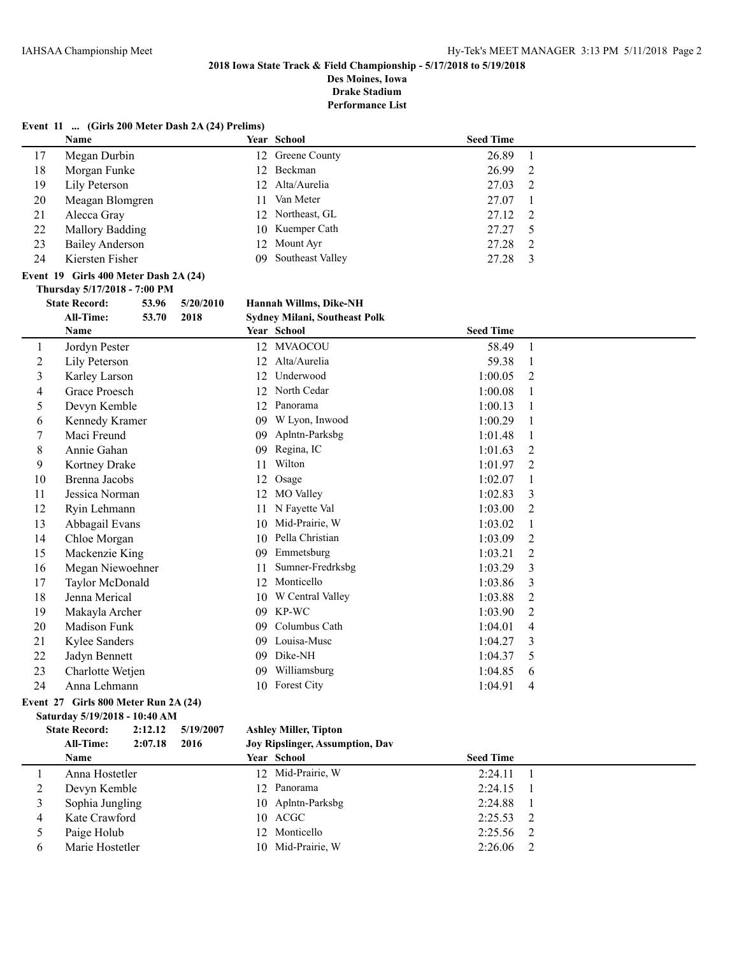**Des Moines, Iowa Drake Stadium**

|                | Event 11  (Girls 200 Meter Dash 2A (24) Prelims) |       |           |    |                               |                  |                |
|----------------|--------------------------------------------------|-------|-----------|----|-------------------------------|------------------|----------------|
|                | <b>Name</b>                                      |       |           |    | Year School                   | <b>Seed Time</b> |                |
| 17             | Megan Durbin                                     |       |           |    | 12 Greene County              | 26.89            | $\mathbf{1}$   |
| 18             | Morgan Funke                                     |       |           |    | 12 Beckman                    | 26.99            | $\overline{c}$ |
| 19             | Lily Peterson                                    |       |           |    | 12 Alta/Aurelia               | 27.03            | 2              |
| 20             | Meagan Blomgren                                  |       |           | 11 | Van Meter                     | 27.07            | 1              |
| 21             | Alecca Gray                                      |       |           |    | 12 Northeast, GL              | 27.12            | $\mathfrak{2}$ |
| 22             | <b>Mallory Badding</b>                           |       |           |    | 10 Kuemper Cath               | 27.27            | 5              |
| 23             | <b>Bailey Anderson</b>                           |       |           |    | 12 Mount Ayr                  | 27.28            | $\overline{2}$ |
| 24             | Kiersten Fisher                                  |       |           |    | 09 Southeast Valley           | 27.28            | 3              |
|                | Event 19 Girls 400 Meter Dash 2A (24)            |       |           |    |                               |                  |                |
|                | Thursday 5/17/2018 - 7:00 PM                     |       |           |    |                               |                  |                |
|                | <b>State Record:</b>                             | 53.96 | 5/20/2010 |    | Hannah Willms, Dike-NH        |                  |                |
|                | <b>All-Time:</b>                                 | 53.70 | 2018      |    | Sydney Milani, Southeast Polk |                  |                |
|                | Name                                             |       |           |    | Year School                   | <b>Seed Time</b> |                |
| 1              | Jordyn Pester                                    |       |           |    | 12 MVAOCOU                    | 58.49            | $\mathbf{1}$   |
| $\overline{c}$ | Lily Peterson                                    |       |           |    | 12 Alta/Aurelia               | 59.38            | $\mathbf{1}$   |
| 3              | Karley Larson                                    |       |           |    | 12 Underwood                  | 1:00.05          | 2              |
| 4              | Grace Proesch                                    |       |           |    | 12 North Cedar                | 1:00.08          | 1              |
| 5              | Devyn Kemble                                     |       |           |    | 12 Panorama                   | 1:00.13          | 1              |
| 6              | Kennedy Kramer                                   |       |           |    | 09 W Lyon, Inwood             | 1:00.29          | $\mathbf{1}$   |
| 7              | Maci Freund                                      |       |           |    | 09 Aplntn-Parksbg             | 1:01.48          | $\mathbf{1}$   |
| 8              | Annie Gahan                                      |       |           |    | 09 Regina, IC                 | 1:01.63          | 2              |
| 9              | Kortney Drake                                    |       |           | 11 | Wilton                        | 1:01.97          | 2              |
| 10             | <b>Brenna Jacobs</b>                             |       |           | 12 | Osage                         | 1:02.07          | 1              |
| 11             | Jessica Norman                                   |       |           |    | 12 MO Valley                  | 1:02.83          | 3              |
| 12             | Ryin Lehmann                                     |       |           |    | 11 N Fayette Val              | 1:03.00          | $\overline{c}$ |
| 13             | Abbagail Evans                                   |       |           |    | 10 Mid-Prairie, W             | 1:03.02          | $\mathbf{1}$   |
| 14             | Chloe Morgan                                     |       |           |    | 10 Pella Christian            | 1:03.09          | $\overline{2}$ |
| 15             | Mackenzie King                                   |       |           |    | 09 Emmetsburg                 | 1:03.21          | 2              |
| 16             | Megan Niewoehner                                 |       |           | 11 | Sumner-Fredrksbg              | 1:03.29          | 3              |
| 17             | Taylor McDonald                                  |       |           |    | 12 Monticello                 | 1:03.86          | 3              |
| 18             | Jenna Merical                                    |       |           |    | 10 W Central Valley           | 1:03.88          | $\overline{2}$ |
| 19             | Makayla Archer                                   |       |           |    | 09 KP-WC                      | 1:03.90          | 2              |
| 20             | Madison Funk                                     |       |           |    | 09 Columbus Cath              | 1:04.01          | 4              |
| 21             | <b>Kylee Sanders</b>                             |       |           |    | 09 Louisa-Musc                | 1:04.27          | 3              |
| 22             | Jadyn Bennett                                    |       |           |    | 09 Dike-NH                    | 1:04.37          | 5              |
| 23             | Charlotte Wetjen                                 |       |           |    | 09 Williamsburg               | 1:04.85          | 6              |
| 24             | Anna Lehmann                                     |       |           |    | 10 Forest City                | 1:04.91          | 4              |
|                | Event 27 Girls 800 Meter Run 2A (24)             |       |           |    |                               |                  |                |
|                | Saturday 5/19/2018 - 10:40 AM                    |       | 5/10/2007 |    |                               |                  |                |

|   | <b>State Record:</b> | 2:12.12 | 5/19/2007 | <b>Ashley Miller, Tipton</b>           |                  |                |
|---|----------------------|---------|-----------|----------------------------------------|------------------|----------------|
|   | All-Time:            | 2:07.18 | 2016      | <b>Joy Ripslinger, Assumption, Dav</b> |                  |                |
|   | <b>Name</b>          |         |           | <b>Year School</b>                     | <b>Seed Time</b> |                |
|   | Anna Hostetler       |         |           | 12 Mid-Prairie, W                      | 2:24.11          |                |
|   | Devyn Kemble         |         |           | 12 Panorama                            | 2:24.15          | $\mathcal{L}$  |
|   | Sophia Jungling      |         |           | 10 Aplntn-Parksbg                      | 2:24.88          | $\blacksquare$ |
| 4 | Kate Crawford        |         |           | 10 ACGC                                | 2:25.53          | $\overline{2}$ |
|   | Paige Holub          |         |           | 12 Monticello                          | 2:25.56          | $\overline{2}$ |
| 6 | Marie Hostetler      |         |           | 10 Mid-Prairie, W                      | 2:26.06          | 2              |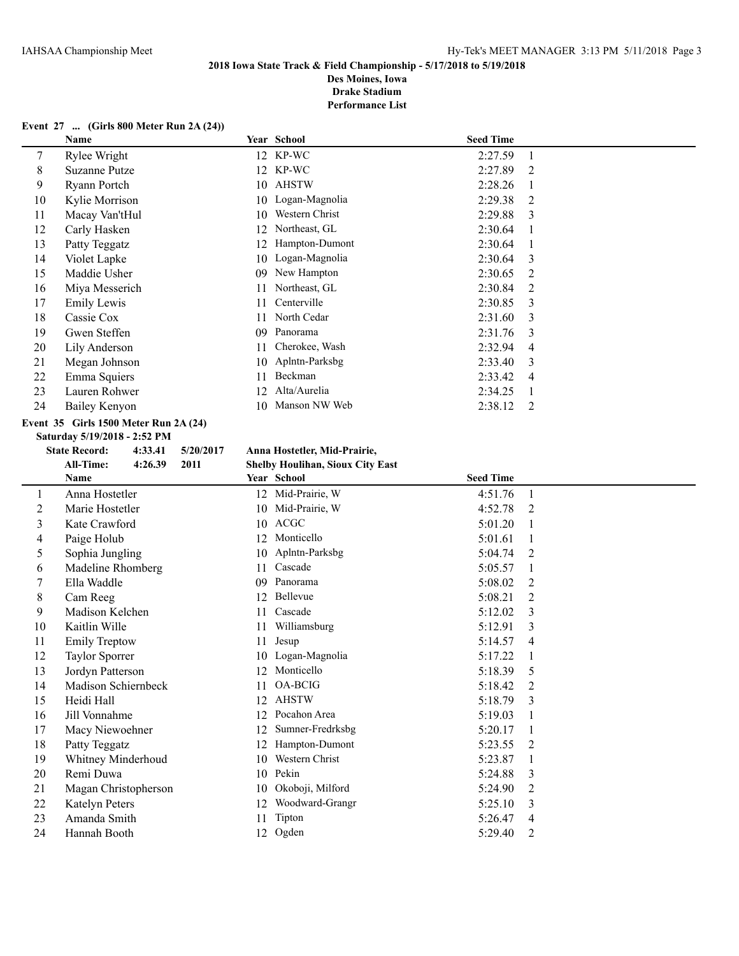**Drake Stadium**

**Performance List**

## **Event 27 ... (Girls 800 Meter Run 2A (24))**

|    | Name           |     | Year School    | <b>Seed Time</b> |                |
|----|----------------|-----|----------------|------------------|----------------|
| 7  | Rylee Wright   |     | 12 KP-WC       | 2:27.59          |                |
| 8  | Suzanne Putze  |     | 12 KP-WC       | 2:27.89          | $\mathfrak{D}$ |
| 9  | Ryann Portch   | 10  | AHSTW          | 2:28.26          |                |
| 10 | Kylie Morrison | 10  | Logan-Magnolia | 2:29.38          | $\mathfrak{D}$ |
| 11 | Macay Van'tHul | 10  | Western Christ | 2:29.88          | 3              |
| 12 | Carly Hasken   | 12. | Northeast, GL  | 2:30.64          |                |
| 13 | Patty Teggatz  | 12. | Hampton-Dumont | 2:30.64          |                |
| 14 | Violet Lapke   | 10  | Logan-Magnolia | 2:30.64          | 3              |
| 15 | Maddie Usher   | 09  | New Hampton    | 2:30.65          | 2              |
| 16 | Miya Messerich | 11  | Northeast, GL  | 2:30.84          | 2              |
| 17 | Emily Lewis    | 11  | Centerville    | 2:30.85          | $\mathcal{E}$  |
| 18 | Cassie Cox     | 11  | North Cedar    | 2:31.60          | 3              |
| 19 | Gwen Steffen   | 09  | Panorama       | 2:31.76          | 3              |
| 20 | Lily Anderson  | 11  | Cherokee, Wash | 2:32.94          | 4              |
| 21 | Megan Johnson  | 10  | Aplntn-Parksbg | 2:33.40          | 3              |
| 22 | Emma Squiers   | 11  | Beckman        | 2:33.42          | 4              |
| 23 | Lauren Rohwer  | 12. | Alta/Aurelia   | 2:34.25          |                |
| 24 | Bailey Kenyon  | 10. | Manson NW Web  | 2:38.12          | 2              |

## **Event 35 Girls 1500 Meter Run 2A (24)**

**Saturday 5/19/2018 - 2:52 PM**

## **State Record: 4:33.41 5/20/2017 Anna Hostetler, Mid-Prairie,**

**All-Time: 4:26.39 2011 Shelby Houlihan, Sioux City East**

|    | Name                 |    | Year School       | <b>Seed Time</b> |                |
|----|----------------------|----|-------------------|------------------|----------------|
|    | Anna Hostetler       |    | 12 Mid-Prairie, W | 4:51.76          | $\overline{1}$ |
| 2  | Marie Hostetler      |    | 10 Mid-Prairie, W | 4:52.78          | 2              |
| 3  | Kate Crawford        |    | 10 ACGC           | 5:01.20          | -1             |
| 4  | Paige Holub          | 12 | Monticello        | 5:01.61          |                |
| 5  | Sophia Jungling      |    | 10 Aplntn-Parksbg | 5:04.74          | 2              |
| 6  | Madeline Rhomberg    | 11 | Cascade           | 5:05.57          | 1              |
|    | Ella Waddle          | 09 | Panorama          | 5:08.02          | 2              |
| 8  | Cam Reeg             |    | 12 Bellevue       | 5:08.21          | 2              |
| 9  | Madison Kelchen      | 11 | Cascade           | 5:12.02          | 3              |
| 10 | Kaitlin Wille        | 11 | Williamsburg      | 5:12.91          | 3              |
| 11 | <b>Emily Treptow</b> | 11 | Jesup             | 5:14.57          | $\overline{4}$ |
| 12 | Taylor Sporrer       |    | 10 Logan-Magnolia | 5:17.22          | 1              |
| 13 | Jordyn Patterson     |    | 12 Monticello     | 5:18.39          | 5              |
| 14 | Madison Schiernbeck  | 11 | OA-BCIG           | 5:18.42          | 2              |
| 15 | Heidi Hall           | 12 | <b>AHSTW</b>      | 5:18.79          | 3              |
| 16 | Jill Vonnahme        | 12 | Pocahon Area      | 5:19.03          | -1             |
| 17 | Macy Niewoehner      | 12 | Sumner-Fredrksbg  | 5:20.17          |                |
| 18 | Patty Teggatz        | 12 | Hampton-Dumont    | 5:23.55          | 2              |
| 19 | Whitney Minderhoud   | 10 | Western Christ    | 5:23.87          |                |
| 20 | Remi Duwa            |    | 10 Pekin          | 5:24.88          | 3              |
| 21 | Magan Christopherson | 10 | Okoboji, Milford  | 5:24.90          | $\overline{2}$ |
| 22 | Katelyn Peters       | 12 | Woodward-Grangr   | 5:25.10          | 3              |
| 23 | Amanda Smith         | 11 | Tipton            | 5:26.47          | 4              |
| 24 | Hannah Booth         | 12 | Ogden             | 5:29.40          | $\overline{c}$ |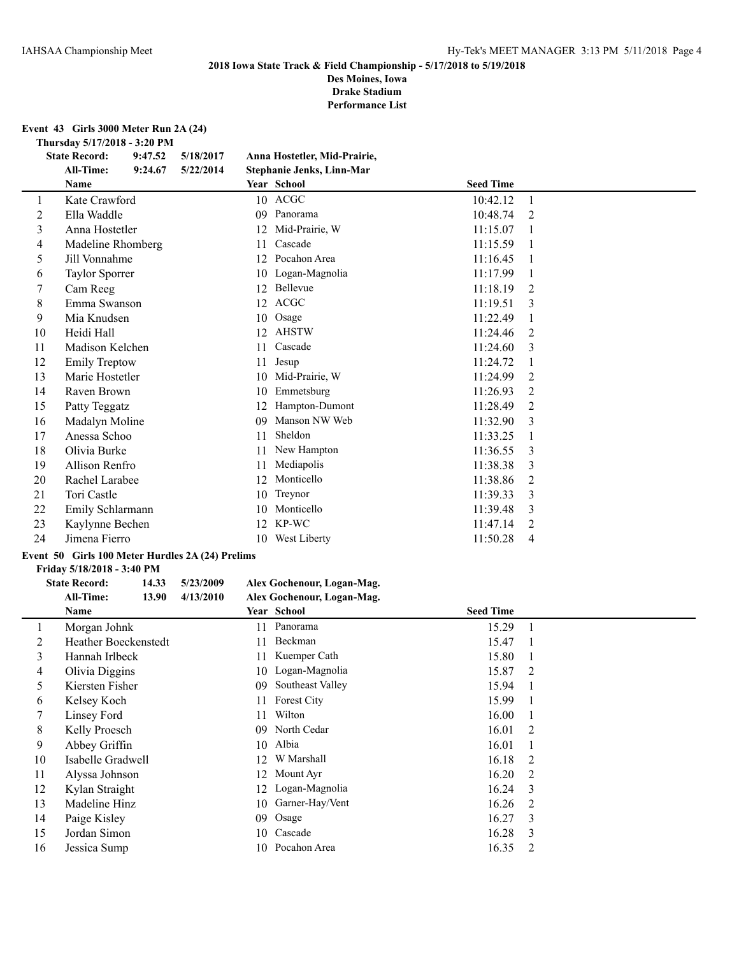**Des Moines, Iowa Drake Stadium**

**Performance List**

**Event 43 Girls 3000 Meter Run 2A (24)**

**Thursday 5/17/2018 - 3:20 PM**<br>State Record: 9:47.52 5/18/2017

|                | $1.001$ suay $3/17/2010 - 3.201$ M<br><b>State Record:</b> | 9:47.52 | 5/18/2017 |    | Anna Hostetler, Mid-Prairie, |                  |    |  |
|----------------|------------------------------------------------------------|---------|-----------|----|------------------------------|------------------|----|--|
|                | <b>All-Time:</b>                                           | 9:24.67 | 5/22/2014 |    | Stephanie Jenks, Linn-Mar    |                  |    |  |
|                | Name                                                       |         |           |    | Year School                  | <b>Seed Time</b> |    |  |
| 1              | Kate Crawford                                              |         |           |    | 10 ACGC                      | 10:42.12         | 1  |  |
| $\overline{2}$ | Ella Waddle                                                |         |           | 09 | Panorama                     | 10:48.74         | 2  |  |
| $\mathfrak{Z}$ | Anna Hostetler                                             |         |           | 12 | Mid-Prairie, W               | 11:15.07         |    |  |
| 4              | Madeline Rhomberg                                          |         |           | 11 | Cascade                      | 11:15.59         |    |  |
| 5              | Jill Vonnahme                                              |         |           | 12 | Pocahon Area                 | 11:16.45         |    |  |
| 6              | Taylor Sporrer                                             |         |           | 10 | Logan-Magnolia               | 11:17.99         | -1 |  |
| 7              | Cam Reeg                                                   |         |           | 12 | Bellevue                     | 11:18.19         | 2  |  |
| 8              | Emma Swanson                                               |         |           | 12 | <b>ACGC</b>                  | 11:19.51         | 3  |  |
| 9              | Mia Knudsen                                                |         |           | 10 | Osage                        | 11:22.49         | 1  |  |
| 10             | Heidi Hall                                                 |         |           | 12 | <b>AHSTW</b>                 | 11:24.46         | 2  |  |
| 11             | Madison Kelchen                                            |         |           | 11 | Cascade                      | 11:24.60         | 3  |  |
| 12             | <b>Emily Treptow</b>                                       |         |           | 11 | Jesup                        | 11:24.72         |    |  |
| 13             | Marie Hostetler                                            |         |           | 10 | Mid-Prairie, W               | 11:24.99         | 2  |  |
| 14             | Raven Brown                                                |         |           | 10 | Emmetsburg                   | 11:26.93         | 2  |  |
| 15             | Patty Teggatz                                              |         |           | 12 | Hampton-Dumont               | 11:28.49         | 2  |  |
| 16             | Madalyn Moline                                             |         |           | 09 | Manson NW Web                | 11:32.90         | 3  |  |
| 17             | Anessa Schoo                                               |         |           | 11 | Sheldon                      | 11:33.25         | 1  |  |
| 18             | Olivia Burke                                               |         |           | 11 | New Hampton                  | 11:36.55         | 3  |  |
| 19             | Allison Renfro                                             |         |           | 11 | Mediapolis                   | 11:38.38         | 3  |  |
| 20             | Rachel Larabee                                             |         |           | 12 | Monticello                   | 11:38.86         | 2  |  |
| 21             | Tori Castle                                                |         |           | 10 | Treynor                      | 11:39.33         | 3  |  |
| 22             | Emily Schlarmann                                           |         |           | 10 | Monticello                   | 11:39.48         | 3  |  |
| 23             | Kaylynne Bechen                                            |         |           | 12 | KP-WC                        | 11:47.14         | 2  |  |
| 24             | Jimena Fierro                                              |         |           | 10 | West Liberty                 | 11:50.28         | 4  |  |
|                |                                                            |         |           |    |                              |                  |    |  |

## **Event 50 Girls 100 Meter Hurdles 2A (24) Prelims**

## **Friday 5/18/2018 - 3:40 PM**

# **State Record: 14.33 5/23/2009 Alex Gochenour, Logan-Mag.**

**All-Time: 13.90 4/13/2010 Alex Gochenour, Logan-Mag.**

|    | <b>Name</b>                 |    | Year School      | <b>Seed Time</b> |              |
|----|-----------------------------|----|------------------|------------------|--------------|
|    | Morgan Johnk                | 11 | Panorama         | 15.29            |              |
| 2  | <b>Heather Boeckenstedt</b> | 11 | Beckman          | 15.47            | $\Box$       |
| 3  | Hannah Irlbeck              | 11 | Kuemper Cath     | 15.80            |              |
| 4  | Olivia Diggins              | 10 | Logan-Magnolia   | 15.87            | 2            |
| 5  | Kiersten Fisher             | 09 | Southeast Valley | 15.94            | $\mathbf{1}$ |
| 6  | Kelsey Koch                 | 11 | Forest City      | 15.99            |              |
| 7  | Linsey Ford                 | 11 | Wilton           | 16.00            |              |
| 8  | Kelly Proesch               | 09 | North Cedar      | 16.01            | 2            |
| 9  | Abbey Griffin               | 10 | Albia            | 16.01            |              |
| 10 | Isabelle Gradwell           | 12 | W Marshall       | 16.18            | 2            |
| 11 | Alyssa Johnson              | 12 | Mount Ayr        | 16.20            | 2            |
| 12 | Kylan Straight              | 12 | Logan-Magnolia   | 16.24            | -3           |
| 13 | Madeline Hinz               | 10 | Garner-Hay/Vent  | 16.26            | 2            |
| 14 | Paige Kisley                | 09 | Osage            | 16.27            | -3           |
| 15 | Jordan Simon                | 10 | Cascade          | 16.28            | 3            |
| 16 | Jessica Sump                | 10 | Pocahon Area     | 16.35            | 2            |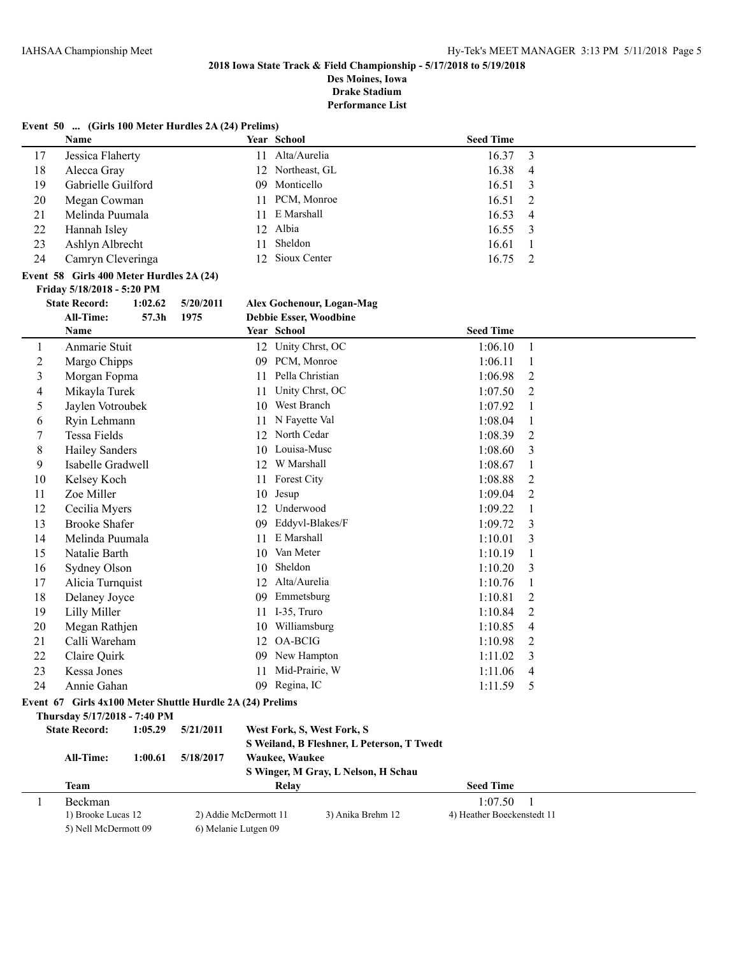**Event 50 ... (Girls 100 Meter Hurdles 2A (24) Prelims)**

# **2018 Iowa State Track & Field Championship - 5/17/2018 to 5/19/2018**

**Des Moines, Iowa Drake Stadium**

|    | Name                                                      |         |                       |    | Year School                                | <b>Seed Time</b>           |                |
|----|-----------------------------------------------------------|---------|-----------------------|----|--------------------------------------------|----------------------------|----------------|
| 17 | Jessica Flaherty                                          |         |                       | 11 | Alta/Aurelia                               | 16.37                      | 3              |
| 18 | Alecca Gray                                               |         |                       | 12 | Northeast, GL                              | 16.38                      | 4              |
| 19 | Gabrielle Guilford                                        |         |                       | 09 | Monticello                                 | 16.51                      | 3              |
| 20 | Megan Cowman                                              |         |                       | 11 | PCM, Monroe                                | 16.51                      | 2              |
| 21 | Melinda Puumala                                           |         |                       | 11 | E Marshall                                 | 16.53                      | $\overline{4}$ |
| 22 | Hannah Isley                                              |         |                       | 12 | Albia                                      | 16.55                      | 3              |
| 23 | Ashlyn Albrecht                                           |         |                       | 11 | Sheldon                                    | 16.61                      | $\mathbf{1}$   |
| 24 | Camryn Cleveringa                                         |         |                       | 12 | Sioux Center                               | 16.75                      | 2              |
|    | Event 58 Girls 400 Meter Hurdles 2A (24)                  |         |                       |    |                                            |                            |                |
|    | Friday 5/18/2018 - 5:20 PM                                |         |                       |    |                                            |                            |                |
|    | <b>State Record:</b>                                      | 1:02.62 | 5/20/2011             |    | <b>Alex Gochenour, Logan-Mag</b>           |                            |                |
|    | All-Time:                                                 | 57.3h   | 1975                  |    | Debbie Esser, Woodbine                     |                            |                |
|    | Name                                                      |         |                       |    | Year School                                | <b>Seed Time</b>           |                |
| 1  | Anmarie Stuit                                             |         |                       |    | 12 Unity Chrst, OC                         | 1:06.10                    | $\mathbf{1}$   |
| 2  | Margo Chipps                                              |         |                       |    | 09 PCM, Monroe                             | 1:06.11                    | 1              |
| 3  | Morgan Fopma                                              |         |                       | 11 | Pella Christian                            | 1:06.98                    | $\overline{2}$ |
| 4  | Mikayla Turek                                             |         |                       | 11 | Unity Chrst, OC                            | 1:07.50                    | $\overline{2}$ |
| 5  | Jaylen Votroubek                                          |         |                       | 10 | West Branch                                | 1:07.92                    | 1              |
| 6  | Ryin Lehmann                                              |         |                       | 11 | N Fayette Val                              | 1:08.04                    | 1              |
| 7  | Tessa Fields                                              |         |                       | 12 | North Cedar                                | 1:08.39                    | $\overline{2}$ |
| 8  | <b>Hailey Sanders</b>                                     |         |                       | 10 | Louisa-Musc                                | 1:08.60                    | 3              |
| 9  | Isabelle Gradwell                                         |         |                       |    | 12 W Marshall                              | 1:08.67                    | 1              |
| 10 | Kelsey Koch                                               |         |                       | 11 | Forest City                                | 1:08.88                    | $\overline{2}$ |
| 11 | Zoe Miller                                                |         |                       | 10 | Jesup                                      | 1:09.04                    | 2              |
| 12 | Cecilia Myers                                             |         |                       |    | 12 Underwood                               | 1:09.22                    | $\mathbf{1}$   |
| 13 | <b>Brooke Shafer</b>                                      |         |                       | 09 | Eddyvl-Blakes/F                            | 1:09.72                    | 3              |
| 14 | Melinda Puumala                                           |         |                       | 11 | E Marshall                                 | 1:10.01                    | 3              |
| 15 | Natalie Barth                                             |         |                       | 10 | Van Meter                                  | 1:10.19                    | 1              |
| 16 | Sydney Olson                                              |         |                       | 10 | Sheldon                                    | 1:10.20                    | 3              |
| 17 | Alicia Turnquist                                          |         |                       |    | 12 Alta/Aurelia                            | 1:10.76                    | 1              |
| 18 | Delaney Joyce                                             |         |                       |    | 09 Emmetsburg                              | 1:10.81                    | $\overline{c}$ |
| 19 | <b>Lilly Miller</b>                                       |         |                       | 11 | I-35, Truro                                | 1:10.84                    | 2              |
| 20 | Megan Rathjen                                             |         |                       | 10 | Williamsburg                               | 1:10.85                    | 4              |
| 21 | Calli Wareham                                             |         |                       | 12 | <b>OA-BCIG</b>                             | 1:10.98                    | 2              |
| 22 | Claire Quirk                                              |         |                       |    | 09 New Hampton                             | 1:11.02                    | 3              |
| 23 | Kessa Jones                                               |         |                       | 11 | Mid-Prairie, W                             | 1:11.06                    | 4              |
| 24 | Annie Gahan                                               |         |                       |    | 09 Regina, IC                              | $1:11.59$ 5                |                |
|    | Event 67 Girls 4x100 Meter Shuttle Hurdle 2A (24) Prelims |         |                       |    |                                            |                            |                |
|    | Thursday 5/17/2018 - 7:40 PM                              |         |                       |    |                                            |                            |                |
|    | <b>State Record:</b>                                      | 1:05.29 | 5/21/2011             |    | West Fork, S, West Fork, S                 |                            |                |
|    |                                                           |         |                       |    | S Weiland, B Fleshner, L Peterson, T Twedt |                            |                |
|    | <b>All-Time:</b>                                          | 1:00.61 | 5/18/2017             |    | Waukee, Waukee                             |                            |                |
|    |                                                           |         |                       |    | S Winger, M Gray, L Nelson, H Schau        |                            |                |
|    | Team                                                      |         |                       |    | Relay                                      | <b>Seed Time</b>           |                |
| 1  | Beckman                                                   |         |                       |    |                                            | 1:07.50                    | -1             |
|    | 1) Brooke Lucas 12                                        |         | 2) Addie McDermott 11 |    | 3) Anika Brehm 12                          | 4) Heather Boeckenstedt 11 |                |
|    | 5) Nell McDermott 09                                      |         | 6) Melanie Lutgen 09  |    |                                            |                            |                |
|    |                                                           |         |                       |    |                                            |                            |                |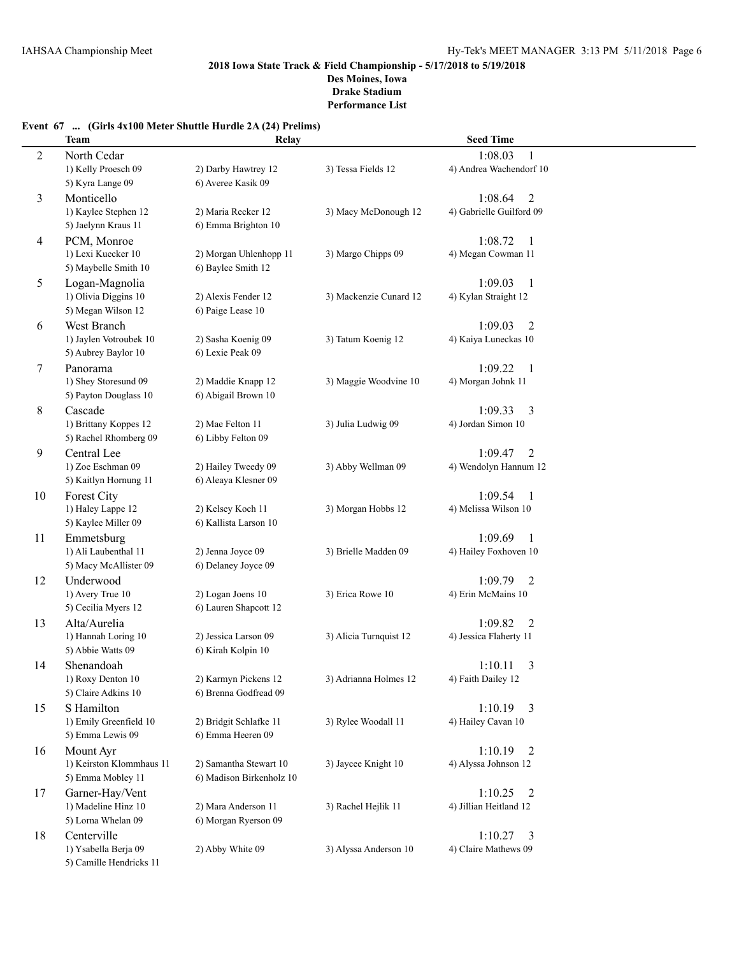## **Event 67 ... (Girls 4x100 Meter Shuttle Hurdle 2A (24) Prelims)**

|    | Team                     | Relay                    |                        | <b>Seed Time</b>          |
|----|--------------------------|--------------------------|------------------------|---------------------------|
| 2  | North Cedar              |                          |                        | 1:08.03<br>1              |
|    | 1) Kelly Proesch 09      | 2) Darby Hawtrey 12      | 3) Tessa Fields 12     | 4) Andrea Wachendorf 10   |
|    | 5) Kyra Lange 09         | 6) Averee Kasik 09       |                        |                           |
| 3  | Monticello               |                          |                        | 1:08.64<br>$\overline{2}$ |
|    | 1) Kaylee Stephen 12     | 2) Maria Recker 12       | 3) Macy McDonough 12   | 4) Gabrielle Guilford 09  |
|    | 5) Jaelynn Kraus 11      | 6) Emma Brighton 10      |                        |                           |
| 4  | PCM, Monroe              |                          |                        | 1:08.72<br>1              |
|    | 1) Lexi Kuecker 10       | 2) Morgan Uhlenhopp 11   | 3) Margo Chipps 09     | 4) Megan Cowman 11        |
|    | 5) Maybelle Smith 10     | 6) Baylee Smith 12       |                        |                           |
| 5  | Logan-Magnolia           |                          |                        | 1:09.03<br>1              |
|    | 1) Olivia Diggins 10     | 2) Alexis Fender 12      | 3) Mackenzie Cunard 12 | 4) Kylan Straight 12      |
|    | 5) Megan Wilson 12       | 6) Paige Lease 10        |                        |                           |
| 6  | West Branch              |                          |                        | 1:09.03<br>$\overline{2}$ |
|    | 1) Jaylen Votroubek 10   | 2) Sasha Koenig 09       | 3) Tatum Koenig 12     | 4) Kaiya Luneckas 10      |
|    | 5) Aubrey Baylor 10      | 6) Lexie Peak 09         |                        |                           |
| 7  | Panorama                 |                          |                        | 1:09.22<br>$\mathbf{1}$   |
|    | 1) Shey Storesund 09     | 2) Maddie Knapp 12       | 3) Maggie Woodvine 10  | 4) Morgan Johnk 11        |
|    | 5) Payton Douglass 10    | 6) Abigail Brown 10      |                        |                           |
| 8  | Cascade                  |                          |                        | 1:09.33<br>3              |
|    | 1) Brittany Koppes 12    | 2) Mae Felton 11         | 3) Julia Ludwig 09     | 4) Jordan Simon 10        |
|    | 5) Rachel Rhomberg 09    | 6) Libby Felton 09       |                        |                           |
| 9  | Central Lee              |                          |                        | 1:09.47<br>$\overline{2}$ |
|    | 1) Zoe Eschman 09        | 2) Hailey Tweedy 09      | 3) Abby Wellman 09     | 4) Wendolyn Hannum 12     |
|    | 5) Kaitlyn Hornung 11    | 6) Aleaya Klesner 09     |                        |                           |
| 10 | Forest City              |                          |                        | 1:09.54<br>$\mathbf{1}$   |
|    | 1) Haley Lappe 12        | 2) Kelsey Koch 11        | 3) Morgan Hobbs 12     | 4) Melissa Wilson 10      |
|    | 5) Kaylee Miller 09      | 6) Kallista Larson 10    |                        |                           |
| 11 | Emmetsburg               |                          |                        | 1:09.69<br>1              |
|    | 1) Ali Laubenthal 11     | 2) Jenna Joyce 09        | 3) Brielle Madden 09   | 4) Hailey Foxhoven 10     |
|    | 5) Macy McAllister 09    | 6) Delaney Joyce 09      |                        |                           |
| 12 | Underwood                |                          |                        | 1:09.79<br>2              |
|    | 1) Avery True 10         | 2) Logan Joens 10        | 3) Erica Rowe 10       | 4) Erin McMains 10        |
|    | 5) Cecilia Myers 12      | 6) Lauren Shapcott 12    |                        |                           |
| 13 | Alta/Aurelia             |                          |                        | 1:09.82<br>2              |
|    | 1) Hannah Loring 10      | 2) Jessica Larson 09     | 3) Alicia Turnquist 12 | 4) Jessica Flaherty 11    |
|    | 5) Abbie Watts 09        | 6) Kirah Kolpin 10       |                        |                           |
| 14 | Shenandoah               |                          |                        | 1:10.11<br>3              |
|    | 1) Roxy Denton 10        | 2) Karmyn Pickens 12     | 3) Adrianna Holmes 12  | 4) Faith Dailey 12        |
|    | 5) Claire Adkins 10      | 6) Brenna Godfread 09    |                        |                           |
| 15 | S Hamilton               |                          |                        | 1:10.19<br>$\overline{3}$ |
|    | 1) Emily Greenfield 10   | 2) Bridgit Schlafke 11   | 3) Rylee Woodall 11    | 4) Hailey Cavan 10        |
|    | 5) Emma Lewis 09         | 6) Emma Heeren 09        |                        |                           |
| 16 | Mount Ayr                |                          |                        | 1:10.19<br>$\overline{2}$ |
|    | 1) Keirston Klommhaus 11 | 2) Samantha Stewart 10   | 3) Jaycee Knight 10    | 4) Alyssa Johnson 12      |
|    | 5) Emma Mobley 11        | 6) Madison Birkenholz 10 |                        |                           |
| 17 | Garner-Hay/Vent          |                          |                        | 1:10.25<br>2              |
|    | 1) Madeline Hinz 10      | 2) Mara Anderson 11      | 3) Rachel Hejlik 11    | 4) Jillian Heitland 12    |
|    | 5) Lorna Whelan 09       | 6) Morgan Ryerson 09     |                        |                           |
| 18 | Centerville              |                          |                        | 1:10.27<br>3              |
|    | 1) Ysabella Berja 09     | 2) Abby White 09         | 3) Alyssa Anderson 10  | 4) Claire Mathews 09      |
|    | 5) Camille Hendricks 11  |                          |                        |                           |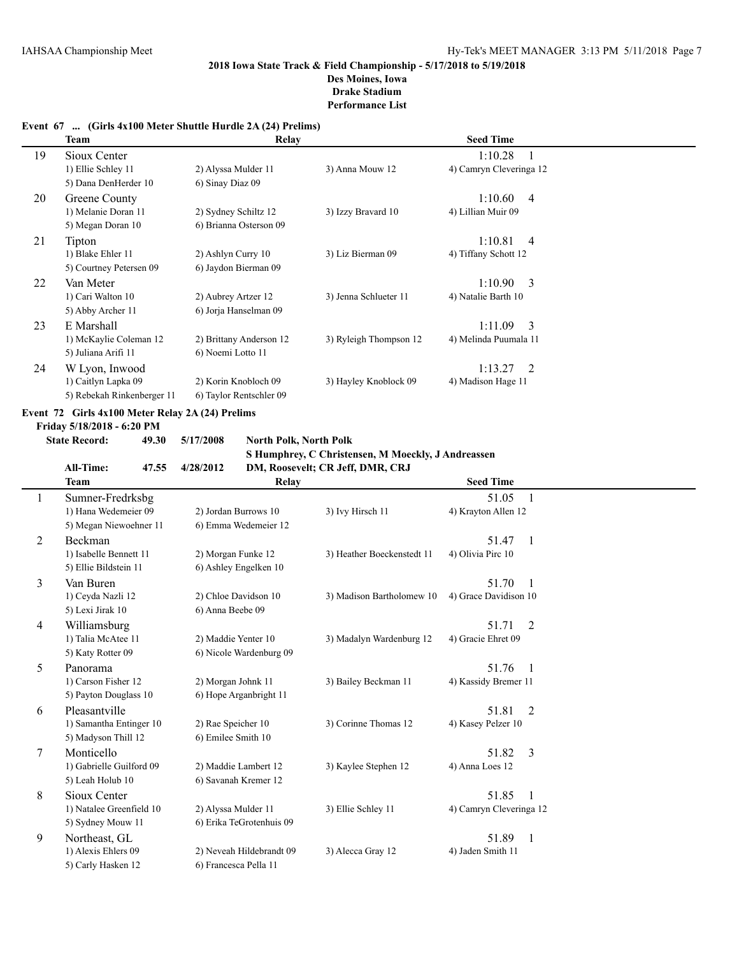## **Event 67 ... (Girls 4x100 Meter Shuttle Hurdle 2A (24) Prelims)**

|    | Team                                                                           | Relay                   |                        | <b>Seed Time</b>          |  |
|----|--------------------------------------------------------------------------------|-------------------------|------------------------|---------------------------|--|
| 19 | Sioux Center                                                                   |                         |                        | 1:10.28                   |  |
|    | 1) Ellie Schley 11                                                             | 2) Alyssa Mulder 11     | 3) Anna Mouw 12        | 4) Camryn Cleveringa 12   |  |
|    | 5) Dana DenHerder 10                                                           | 6) Sinay Diaz 09        |                        |                           |  |
| 20 | Greene County                                                                  |                         |                        | 1:10.60<br>4              |  |
|    | 1) Melanie Doran 11                                                            | 2) Sydney Schiltz 12    | 3) Izzy Bravard 10     | 4) Lillian Muir 09        |  |
|    | 5) Megan Doran 10                                                              | 6) Brianna Osterson 09  |                        |                           |  |
| 21 | Tipton                                                                         |                         |                        | 1:10.81<br>$\overline{4}$ |  |
|    | 1) Blake Ehler 11                                                              | 2) Ashlyn Curry 10      | 3) Liz Bierman 09      | 4) Tiffany Schott 12      |  |
|    | 5) Courtney Petersen 09                                                        | 6) Jaydon Bierman 09    |                        |                           |  |
| 22 | Van Meter                                                                      |                         |                        | 1:10.90<br>- 3            |  |
|    | 1) Cari Walton 10                                                              | 2) Aubrey Artzer 12     | 3) Jenna Schlueter 11  | 4) Natalie Barth 10       |  |
|    | 5) Abby Archer 11                                                              | 6) Jorja Hanselman 09   |                        |                           |  |
| 23 | E Marshall                                                                     |                         |                        | 1:11.09<br>- 3            |  |
|    | 1) McKaylie Coleman 12                                                         | 2) Brittany Anderson 12 | 3) Ryleigh Thompson 12 | 4) Melinda Puumala 11     |  |
|    | 5) Juliana Arifi 11                                                            | 6) Noemi Lotto 11       |                        |                           |  |
| 24 | W Lyon, Inwood                                                                 |                         |                        | 1:13.27<br>2              |  |
|    | 1) Caitlyn Lapka 09                                                            | 2) Korin Knobloch 09    | 3) Hayley Knoblock 09  | 4) Madison Hage 11        |  |
|    | 5) Rebekah Rinkenberger 11                                                     | 6) Taylor Rentschler 09 |                        |                           |  |
|    | Event 72 Girls 4x100 Meter Relay 2A (24) Prelims<br>Friday 5/18/2018 - 6:20 PM |                         |                        |                           |  |

**State Record: 49.30 5/17/2008 North Polk, North Polk S Humphrey, C Christensen, M Moeckly, J Andreassen All-Time: 47.55 4/28/2012 DM, Roosevelt; CR Jeff, DMR, CRJ**

|   | All-Time:<br>47.33       | 4/28/2012                | DM, ROOSEVEIT; CR JEII, DMR, CRJ |                         |              |
|---|--------------------------|--------------------------|----------------------------------|-------------------------|--------------|
|   | <b>Team</b>              | Relay                    |                                  | <b>Seed Time</b>        |              |
|   | Sumner-Fredrksbg         |                          |                                  | 51.05                   |              |
|   | 1) Hana Wedemeier 09     | 2) Jordan Burrows 10     | 3) Ivy Hirsch 11                 | 4) Krayton Allen 12     |              |
|   | 5) Megan Niewoehner 11   | 6) Emma Wedemeier 12     |                                  |                         |              |
| 2 | Beckman                  |                          |                                  | 51.47                   | 1            |
|   | 1) Isabelle Bennett 11   | 2) Morgan Funke 12       | 3) Heather Boeckenstedt 11       | 4) Olivia Pirc 10       |              |
|   | 5) Ellie Bildstein 11    | 6) Ashley Engelken 10    |                                  |                         |              |
| 3 | Van Buren                |                          |                                  | 51.70                   |              |
|   | 1) Ceyda Nazli 12        | 2) Chloe Davidson 10     | 3) Madison Bartholomew 10        | 4) Grace Davidison 10   |              |
|   | 5) Lexi Jirak 10         | 6) Anna Beebe 09         |                                  |                         |              |
| 4 | Williamsburg             |                          |                                  | 51.71                   | 2            |
|   | 1) Talia McAtee 11       | 2) Maddie Yenter 10      | 3) Madalyn Wardenburg 12         | 4) Gracie Ehret 09      |              |
|   | 5) Katy Rotter 09        | 6) Nicole Wardenburg 09  |                                  |                         |              |
| 5 | Panorama                 |                          |                                  | 51.76                   | -1           |
|   | 1) Carson Fisher 12      | 2) Morgan Johnk 11       | 3) Bailey Beckman 11             | 4) Kassidy Bremer 11    |              |
|   | 5) Payton Douglass 10    | 6) Hope Arganbright 11   |                                  |                         |              |
| 6 | Pleasantville            |                          |                                  | 51.81                   | 2            |
|   | 1) Samantha Entinger 10  | 2) Rae Speicher 10       | 3) Corinne Thomas 12             | 4) Kasey Pelzer 10      |              |
|   | 5) Madyson Thill 12      | 6) Emilee Smith 10       |                                  |                         |              |
| 7 | Monticello               |                          |                                  | 51.82                   | 3            |
|   | 1) Gabrielle Guilford 09 | 2) Maddie Lambert 12     | 3) Kaylee Stephen 12             | 4) Anna Loes 12         |              |
|   | 5) Leah Holub 10         | 6) Savanah Kremer 12     |                                  |                         |              |
| 8 | Sioux Center             |                          |                                  | 51.85                   | $\mathbf{1}$ |
|   | 1) Natalee Greenfield 10 | 2) Alyssa Mulder 11      | 3) Ellie Schley 11               | 4) Camryn Cleveringa 12 |              |
|   | 5) Sydney Mouw 11        | 6) Erika TeGrotenhuis 09 |                                  |                         |              |
| 9 | Northeast, GL            |                          |                                  | 51.89                   | 1            |
|   | 1) Alexis Ehlers 09      | 2) Neveah Hildebrandt 09 | 3) Alecca Gray 12                | 4) Jaden Smith 11       |              |
|   | 5) Carly Hasken 12       | 6) Francesca Pella 11    |                                  |                         |              |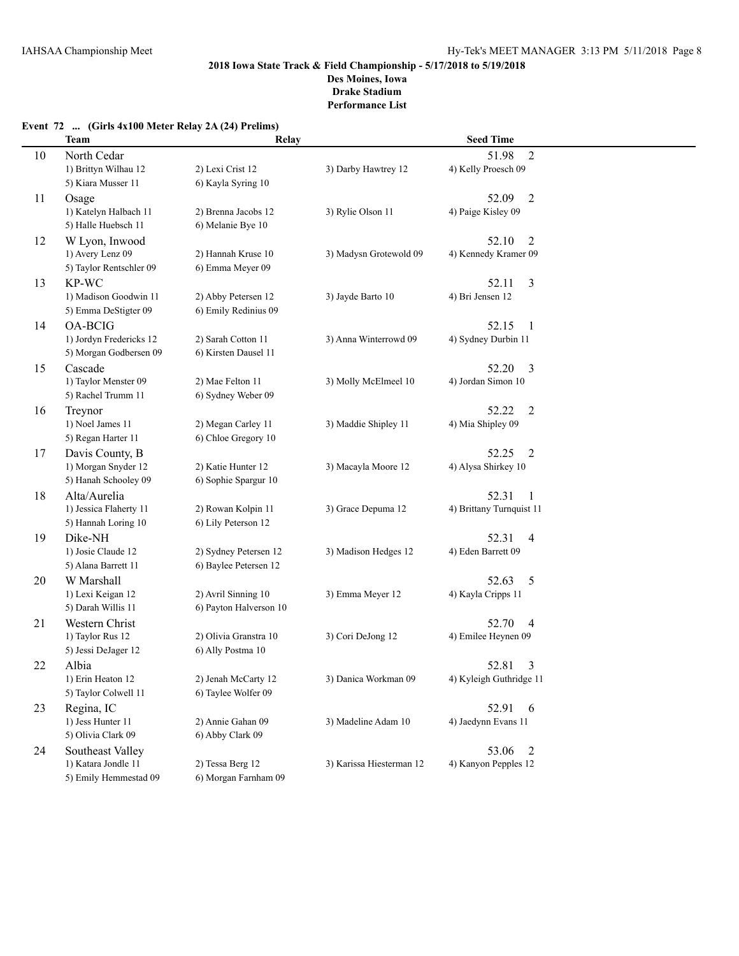## **Event 72 ... (Girls 4x100 Meter Relay 2A (24) Prelims)**

|    | <b>Team</b>             | Relay                  |                          | <b>Seed Time</b>         |  |
|----|-------------------------|------------------------|--------------------------|--------------------------|--|
| 10 | North Cedar             |                        |                          | $\overline{2}$<br>51.98  |  |
|    | 1) Brittyn Wilhau 12    | 2) Lexi Crist 12       | 3) Darby Hawtrey 12      | 4) Kelly Proesch 09      |  |
|    | 5) Kiara Musser 11      | 6) Kayla Syring 10     |                          |                          |  |
| 11 | Osage                   |                        |                          | 52.09<br>$\overline{2}$  |  |
|    | 1) Katelyn Halbach 11   | 2) Brenna Jacobs 12    | 3) Rylie Olson 11        | 4) Paige Kisley 09       |  |
|    | 5) Halle Huebsch 11     | 6) Melanie Bye 10      |                          |                          |  |
| 12 | W Lyon, Inwood          |                        |                          | 52.10<br>$\overline{2}$  |  |
|    | 1) Avery Lenz 09        | 2) Hannah Kruse 10     | 3) Madysn Grotewold 09   | 4) Kennedy Kramer 09     |  |
|    | 5) Taylor Rentschler 09 | 6) Emma Meyer 09       |                          |                          |  |
| 13 | KP-WC                   |                        |                          | 3<br>52.11               |  |
|    | 1) Madison Goodwin 11   | 2) Abby Petersen 12    | 3) Jayde Barto 10        | 4) Bri Jensen 12         |  |
|    | 5) Emma DeStigter 09    | 6) Emily Redinius 09   |                          |                          |  |
| 14 | <b>OA-BCIG</b>          |                        |                          | 52.15<br>$\overline{1}$  |  |
|    | 1) Jordyn Fredericks 12 | 2) Sarah Cotton 11     | 3) Anna Winterrowd 09    | 4) Sydney Durbin 11      |  |
|    | 5) Morgan Godbersen 09  | 6) Kirsten Dausel 11   |                          |                          |  |
| 15 | Cascade                 |                        |                          | 52.20<br>3               |  |
|    | 1) Taylor Menster 09    | 2) Mae Felton 11       | 3) Molly McElmeel 10     | 4) Jordan Simon 10       |  |
|    | 5) Rachel Trumm 11      | 6) Sydney Weber 09     |                          |                          |  |
| 16 | Treynor                 |                        |                          | 52.22<br>2               |  |
|    | 1) Noel James 11        | 2) Megan Carley 11     | 3) Maddie Shipley 11     | 4) Mia Shipley 09        |  |
|    | 5) Regan Harter 11      | 6) Chloe Gregory 10    |                          |                          |  |
| 17 | Davis County, B         |                        |                          | 52.25<br>2               |  |
|    | 1) Morgan Snyder 12     | 2) Katie Hunter 12     | 3) Macayla Moore 12      | 4) Alysa Shirkey 10      |  |
|    | 5) Hanah Schooley 09    | 6) Sophie Spargur 10   |                          |                          |  |
| 18 | Alta/Aurelia            |                        |                          | 52.31<br>1               |  |
|    | 1) Jessica Flaherty 11  | 2) Rowan Kolpin 11     | 3) Grace Depuma 12       | 4) Brittany Turnquist 11 |  |
|    | 5) Hannah Loring 10     | 6) Lily Peterson 12    |                          |                          |  |
| 19 | Dike-NH                 |                        |                          | 52.31<br>4               |  |
|    | 1) Josie Claude 12      | 2) Sydney Petersen 12  | 3) Madison Hedges 12     | 4) Eden Barrett 09       |  |
|    | 5) Alana Barrett 11     | 6) Baylee Petersen 12  |                          |                          |  |
| 20 | W Marshall              |                        |                          | 52.63<br>5               |  |
|    | 1) Lexi Keigan 12       | 2) Avril Sinning 10    | 3) Emma Meyer 12         | 4) Kayla Cripps 11       |  |
|    | 5) Darah Willis 11      | 6) Payton Halverson 10 |                          |                          |  |
| 21 | Western Christ          |                        |                          | 52.70<br>4               |  |
|    | 1) Taylor Rus 12        | 2) Olivia Granstra 10  | 3) Cori DeJong 12        | 4) Emilee Heynen 09      |  |
|    | 5) Jessi DeJager 12     | 6) Ally Postma 10      |                          |                          |  |
| 22 | Albia                   |                        |                          | 52.81<br>3               |  |
|    | 1) Erin Heaton 12       | 2) Jenah McCarty 12    | 3) Danica Workman 09     | 4) Kyleigh Guthridge 11  |  |
|    | 5) Taylor Colwell 11    | 6) Taylee Wolfer 09    |                          |                          |  |
| 23 | Regina, IC              |                        |                          | 52.91<br>6               |  |
|    | 1) Jess Hunter 11       | 2) Annie Gahan 09      | 3) Madeline Adam 10      | 4) Jaedynn Evans 11      |  |
|    | 5) Olivia Clark 09      | 6) Abby Clark 09       |                          |                          |  |
| 24 | Southeast Valley        |                        |                          | 53.06<br>2               |  |
|    | 1) Katara Jondle 11     | 2) Tessa Berg 12       | 3) Karissa Hiesterman 12 | 4) Kanyon Pepples 12     |  |
|    | 5) Emily Hemmestad 09   | 6) Morgan Farnham 09   |                          |                          |  |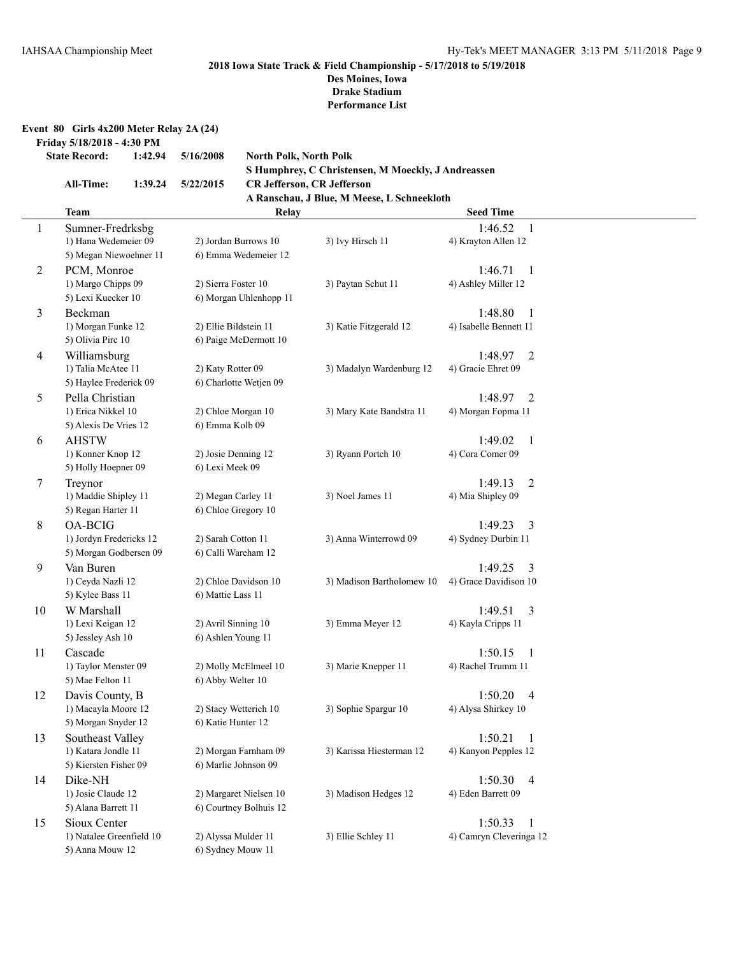**Drake Stadium**

**Performance List**

| Event 80 Girls $4x200$ Meter Relay 2A $(24)$ |  |  |  |  |
|----------------------------------------------|--|--|--|--|
|                                              |  |  |  |  |

**Friday 5/18/2018 - 4:30 PM**

```
State Record: 1:42.94 5/16/2008 North Polk, North Polk
```
**S Humphrey, C Christensen, M Moeckly, J Andreassen All-Time: 1:39.24 5/22/2015 CR Jefferson, CR Jefferson**

## **A Ranschau, J Blue, M Meese, L Schneekloth**

|                | Team                                              | Relay                  |                           | <b>Seed Time</b>                    |  |
|----------------|---------------------------------------------------|------------------------|---------------------------|-------------------------------------|--|
| 1              | Sumner-Fredrksbg                                  |                        |                           | 1:46.52<br>$\overline{1}$           |  |
|                | 1) Hana Wedemeier 09                              | 2) Jordan Burrows 10   | 3) Ivy Hirsch 11          | 4) Krayton Allen 12                 |  |
|                | 5) Megan Niewoehner 11                            | 6) Emma Wedemeier 12   |                           |                                     |  |
| $\overline{c}$ | PCM, Monroe                                       |                        |                           | 1:46.71<br>-1                       |  |
|                | 1) Margo Chipps 09                                | 2) Sierra Foster 10    | 3) Paytan Schut 11        | 4) Ashley Miller 12                 |  |
|                | 5) Lexi Kuecker 10                                | 6) Morgan Uhlenhopp 11 |                           |                                     |  |
| 3              | Beckman                                           |                        |                           | 1:48.80<br>-1                       |  |
|                | 1) Morgan Funke 12                                | 2) Ellie Bildstein 11  | 3) Katie Fitzgerald 12    | 4) Isabelle Bennett 11              |  |
|                | 5) Olivia Pirc 10                                 | 6) Paige McDermott 10  |                           |                                     |  |
| 4              | Williamsburg                                      |                        |                           | 1:48.97<br>2                        |  |
|                | 1) Talia McAtee 11                                | 2) Katy Rotter 09      | 3) Madalyn Wardenburg 12  | 4) Gracie Ehret 09                  |  |
|                | 5) Haylee Frederick 09                            | 6) Charlotte Wetjen 09 |                           |                                     |  |
| 5              | Pella Christian                                   |                        |                           | 1:48.97<br>2                        |  |
|                | 1) Erica Nikkel 10                                | 2) Chloe Morgan 10     | 3) Mary Kate Bandstra 11  | 4) Morgan Fopma 11                  |  |
|                | 5) Alexis De Vries 12                             | 6) Emma Kolb 09        |                           |                                     |  |
| 6              | <b>AHSTW</b>                                      |                        |                           | 1:49.02<br>-1                       |  |
|                | 1) Konner Knop 12                                 | 2) Josie Denning 12    | 3) Ryann Portch 10        | 4) Cora Comer 09                    |  |
|                | 5) Holly Hoepner 09                               | 6) Lexi Meek 09        |                           |                                     |  |
|                |                                                   |                        |                           | 1:49.13                             |  |
| 7              | Treynor<br>1) Maddie Shipley 11                   | 2) Megan Carley 11     | 3) Noel James 11          | 2<br>4) Mia Shipley 09              |  |
|                | 5) Regan Harter 11                                | 6) Chloe Gregory 10    |                           |                                     |  |
|                |                                                   |                        |                           |                                     |  |
| 8              | <b>OA-BCIG</b>                                    |                        |                           | 1:49.23<br>3<br>4) Sydney Durbin 11 |  |
|                | 1) Jordyn Fredericks 12<br>5) Morgan Godbersen 09 | 2) Sarah Cotton 11     | 3) Anna Winterrowd 09     |                                     |  |
|                |                                                   | 6) Calli Wareham 12    |                           |                                     |  |
| 9              | Van Buren                                         |                        |                           | 1:49.25<br>3                        |  |
|                | 1) Ceyda Nazli 12                                 | 2) Chloe Davidson 10   | 3) Madison Bartholomew 10 | 4) Grace Davidison 10               |  |
|                | 5) Kylee Bass 11                                  | 6) Mattie Lass 11      |                           |                                     |  |
| 10             | W Marshall                                        |                        |                           | 1:49.51<br>3                        |  |
|                | 1) Lexi Keigan 12                                 | 2) Avril Sinning 10    | 3) Emma Meyer 12          | 4) Kayla Cripps 11                  |  |
|                | 5) Jessley Ash 10                                 | 6) Ashlen Young 11     |                           |                                     |  |
| 11             | Cascade                                           |                        |                           | 1:50.15<br>-1                       |  |
|                | 1) Taylor Menster 09                              | 2) Molly McElmeel 10   | 3) Marie Knepper 11       | 4) Rachel Trumm 11                  |  |
|                | 5) Mae Felton 11                                  | 6) Abby Welter 10      |                           |                                     |  |
| 12             | Davis County, B                                   |                        |                           | 1:50.20<br>$\overline{4}$           |  |
|                | 1) Macayla Moore 12                               | 2) Stacy Wetterich 10  | 3) Sophie Spargur 10      | 4) Alysa Shirkey 10                 |  |
|                | 5) Morgan Snyder 12                               | 6) Katie Hunter 12     |                           |                                     |  |
| 13             | Southeast Valley                                  |                        |                           | 1:50.21<br>-1                       |  |
|                | 1) Katara Jondle 11                               | 2) Morgan Farnham 09   | 3) Karissa Hiesterman 12  | 4) Kanyon Pepples 12                |  |
|                | 5) Kiersten Fisher 09                             | 6) Marlie Johnson 09   |                           |                                     |  |
| 14             | Dike-NH                                           |                        |                           | 1:50.30<br>$\overline{4}$           |  |
|                | 1) Josie Claude 12                                | 2) Margaret Nielsen 10 | 3) Madison Hedges 12      | 4) Eden Barrett 09                  |  |
|                | 5) Alana Barrett 11                               | 6) Courtney Bolhuis 12 |                           |                                     |  |
| 15             | Sioux Center                                      |                        |                           | 1:50.33<br>-1                       |  |
|                | 1) Natalee Greenfield 10                          | 2) Alyssa Mulder 11    | 3) Ellie Schley 11        | 4) Camryn Cleveringa 12             |  |
|                | 5) Anna Mouw 12                                   | 6) Sydney Mouw 11      |                           |                                     |  |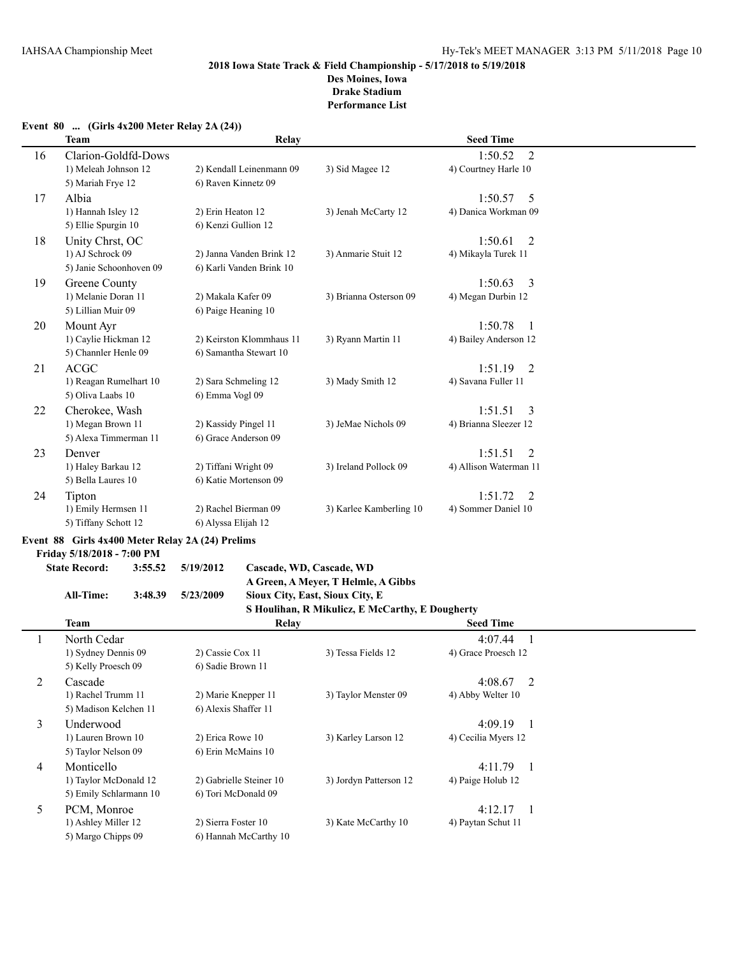#### **Event 80 ... (Girls 4x200 Meter Relay 2A (24))**

|    | <b>Team</b>             | Relay                    |                         | <b>Seed Time</b>       |  |
|----|-------------------------|--------------------------|-------------------------|------------------------|--|
| 16 | Clarion-Goldfd-Dows     |                          |                         | 2<br>1:50.52           |  |
|    | 1) Meleah Johnson 12    | 2) Kendall Leinenmann 09 | 3) Sid Magee 12         | 4) Courtney Harle 10   |  |
|    | 5) Mariah Frye 12       | 6) Raven Kinnetz 09      |                         |                        |  |
| 17 | Albia                   |                          |                         | 1:50.57<br>5           |  |
|    | 1) Hannah Isley 12      | 2) Erin Heaton 12        | 3) Jenah McCarty 12     | 4) Danica Workman 09   |  |
|    | 5) Ellie Spurgin 10     | 6) Kenzi Gullion 12      |                         |                        |  |
| 18 | Unity Chrst, OC         |                          |                         | 1:50.61<br>2           |  |
|    | 1) AJ Schrock 09        | 2) Janna Vanden Brink 12 | 3) Anmarie Stuit 12     | 4) Mikayla Turek 11    |  |
|    | 5) Janie Schoonhoven 09 | 6) Karli Vanden Brink 10 |                         |                        |  |
| 19 | Greene County           |                          |                         | 1:50.63<br>3           |  |
|    | 1) Melanie Doran 11     | 2) Makala Kafer 09       | 3) Brianna Osterson 09  | 4) Megan Durbin 12     |  |
|    | 5) Lillian Muir 09      | 6) Paige Heaning 10      |                         |                        |  |
| 20 | Mount Ayr               |                          |                         | 1:50.78<br>1           |  |
|    | 1) Caylie Hickman 12    | 2) Keirston Klommhaus 11 | 3) Ryann Martin 11      | 4) Bailey Anderson 12  |  |
|    | 5) Channler Henle 09    | 6) Samantha Stewart 10   |                         |                        |  |
| 21 | ACGC                    |                          |                         | 1:51.19<br>2           |  |
|    | 1) Reagan Rumelhart 10  | 2) Sara Schmeling 12     | 3) Mady Smith 12        | 4) Savana Fuller 11    |  |
|    | 5) Oliva Laabs 10       | 6) Emma Vogl 09          |                         |                        |  |
| 22 | Cherokee, Wash          |                          |                         | 1:51.51<br>3           |  |
|    | 1) Megan Brown 11       | 2) Kassidy Pingel 11     | 3) JeMae Nichols 09     | 4) Brianna Sleezer 12  |  |
|    | 5) Alexa Timmerman 11   | 6) Grace Anderson 09     |                         |                        |  |
| 23 | Denver                  |                          |                         | 1:51.51<br>2           |  |
|    | 1) Haley Barkau 12      | 2) Tiffani Wright 09     | 3) Ireland Pollock 09   | 4) Allison Waterman 11 |  |
|    | 5) Bella Laures 10      | 6) Katie Mortenson 09    |                         |                        |  |
| 24 | Tipton                  |                          |                         | 1:51.72<br>2           |  |
|    | 1) Emily Hermsen 11     | 2) Rachel Bierman 09     | 3) Karlee Kamberling 10 | 4) Sommer Daniel 10    |  |
|    | 5) Tiffany Schott 12    | 6) Alyssa Elijah 12      |                         |                        |  |

## **Event 88 Girls 4x400 Meter Relay 2A (24) Prelims**

**Friday 5/18/2018 - 7:00 PM**

# **State Record: 3:55.52 5/19/2012 Cascade, WD, Cascade, WD**

**A Green, A Meyer, T Helmle, A Gibbs**

#### **All-Time: 3:48.39 5/23/2009 Sioux City, East, Sioux City, E S Houlihan, R Mikulicz, E McCarthy, E Dougherty**

|   |                        |                         | $\beta$ Houndan, K Mikuncz, E McCarthy, E Dougherty |                           |  |
|---|------------------------|-------------------------|-----------------------------------------------------|---------------------------|--|
|   | Team                   | Relay                   |                                                     | <b>Seed Time</b>          |  |
|   | North Cedar            |                         |                                                     | 4:07.44                   |  |
|   | 1) Sydney Dennis 09    | 2) Cassie Cox 11        | 3) Tessa Fields 12                                  | 4) Grace Proesch 12       |  |
|   | 5) Kelly Proesch 09    | 6) Sadie Brown 11       |                                                     |                           |  |
| 2 | Cascade                |                         |                                                     | 4:08.67<br>$\overline{2}$ |  |
|   | 1) Rachel Trumm 11     | 2) Marie Knepper 11     | 3) Taylor Menster 09                                | 4) Abby Welter 10         |  |
|   | 5) Madison Kelchen 11  | 6) Alexis Shaffer 11    |                                                     |                           |  |
| 3 | Underwood              |                         |                                                     | 4:09.19                   |  |
|   | 1) Lauren Brown 10     | 2) Erica Rowe 10        | 3) Karley Larson 12                                 | 4) Cecilia Myers 12       |  |
|   | 5) Taylor Nelson 09    | 6) Erin McMains 10      |                                                     |                           |  |
| 4 | Monticello             |                         |                                                     | 4:11.79<br>$\blacksquare$ |  |
|   | 1) Taylor McDonald 12  | 2) Gabrielle Steiner 10 | 3) Jordyn Patterson 12                              | 4) Paige Holub 12         |  |
|   | 5) Emily Schlarmann 10 | 6) Tori McDonald 09     |                                                     |                           |  |
| 5 | PCM, Monroe            |                         |                                                     | 4:12.17                   |  |
|   | 1) Ashley Miller 12    | 2) Sierra Foster 10     | 3) Kate McCarthy 10                                 | 4) Paytan Schut 11        |  |
|   | 5) Margo Chipps 09     | 6) Hannah McCarthy 10   |                                                     |                           |  |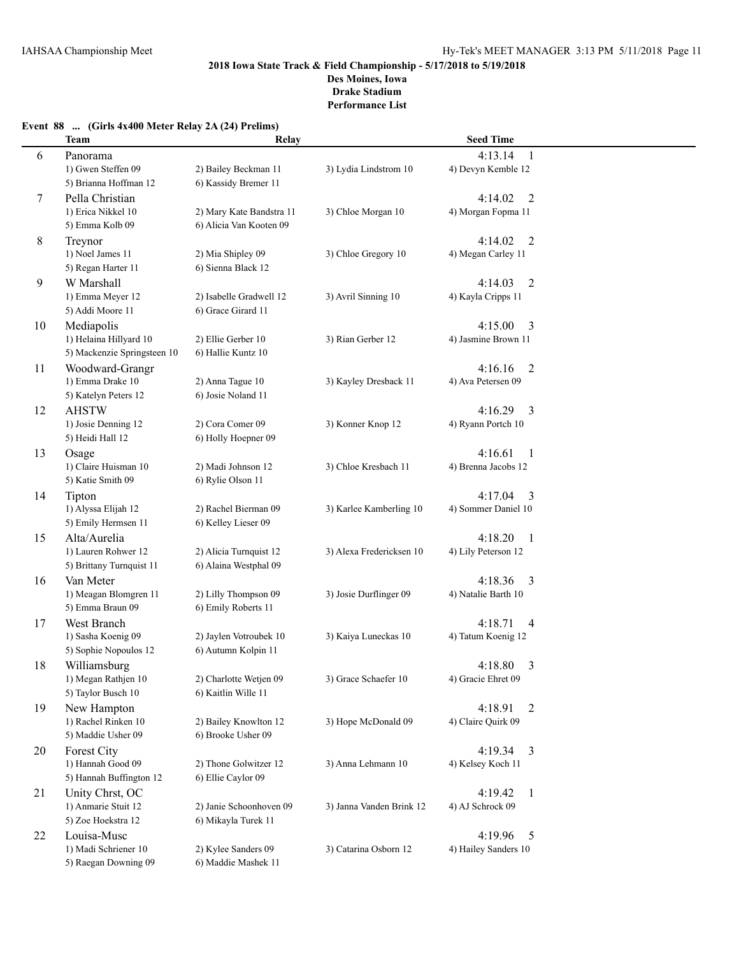## **Event 88 ... (Girls 4x400 Meter Relay 2A (24) Prelims)**

|    | <b>Team</b>                                     | Relay                                           |                          | <b>Seed Time</b>                                |  |
|----|-------------------------------------------------|-------------------------------------------------|--------------------------|-------------------------------------------------|--|
| 6  | Panorama                                        |                                                 |                          | 4:13.14<br>$\mathbf{1}$                         |  |
|    | 1) Gwen Steffen 09                              | 2) Bailey Beckman 11                            | 3) Lydia Lindstrom 10    | 4) Devyn Kemble 12                              |  |
|    | 5) Brianna Hoffman 12                           | 6) Kassidy Bremer 11                            |                          |                                                 |  |
| 7  | Pella Christian                                 |                                                 |                          | 4:14.02<br>2                                    |  |
|    | 1) Erica Nikkel 10                              | 2) Mary Kate Bandstra 11                        | 3) Chloe Morgan 10       | 4) Morgan Fopma 11                              |  |
|    | 5) Emma Kolb 09                                 | 6) Alicia Van Kooten 09                         |                          |                                                 |  |
| 8  | Treynor<br>1) Noel James 11                     | 2) Mia Shipley 09                               |                          | 4:14.02<br>$\overline{2}$<br>4) Megan Carley 11 |  |
|    | 5) Regan Harter 11                              | 6) Sienna Black 12                              | 3) Chloe Gregory 10      |                                                 |  |
| 9  | W Marshall                                      |                                                 |                          | 4:14.03<br>$\overline{2}$                       |  |
|    | 1) Emma Meyer 12                                | 2) Isabelle Gradwell 12                         | 3) Avril Sinning 10      | 4) Kayla Cripps 11                              |  |
|    | 5) Addi Moore 11                                | 6) Grace Girard 11                              |                          |                                                 |  |
| 10 | Mediapolis                                      |                                                 |                          | 4:15.00<br>3                                    |  |
|    | 1) Helaina Hillyard 10                          | 2) Ellie Gerber 10                              | 3) Rian Gerber 12        | 4) Jasmine Brown 11                             |  |
|    | 5) Mackenzie Springsteen 10                     | 6) Hallie Kuntz 10                              |                          |                                                 |  |
| 11 | Woodward-Grangr                                 |                                                 |                          | 4:16.16<br>2                                    |  |
|    | 1) Emma Drake 10                                | 2) Anna Tague 10                                | 3) Kayley Dresback 11    | 4) Ava Petersen 09                              |  |
|    | 5) Katelyn Peters 12                            | 6) Josie Noland 11                              |                          |                                                 |  |
| 12 | <b>AHSTW</b>                                    |                                                 |                          | 4:16.29<br>3                                    |  |
|    | 1) Josie Denning 12                             | 2) Cora Comer 09                                | 3) Konner Knop 12        | 4) Ryann Portch 10                              |  |
|    | 5) Heidi Hall 12                                | 6) Holly Hoepner 09                             |                          |                                                 |  |
| 13 | Osage                                           |                                                 |                          | 4:16.61<br>1                                    |  |
|    | 1) Claire Huisman 10                            | 2) Madi Johnson 12                              | 3) Chloe Kresbach 11     | 4) Brenna Jacobs 12                             |  |
|    | 5) Katie Smith 09                               | 6) Rylie Olson 11                               |                          |                                                 |  |
| 14 | Tipton                                          |                                                 |                          | 4:17.04<br>3                                    |  |
|    | 1) Alyssa Elijah 12                             | 2) Rachel Bierman 09                            | 3) Karlee Kamberling 10  | 4) Sommer Daniel 10                             |  |
|    | 5) Emily Hermsen 11                             | 6) Kelley Lieser 09                             |                          |                                                 |  |
| 15 | Alta/Aurelia                                    |                                                 |                          | 4:18.20<br>$\overline{1}$                       |  |
|    | 1) Lauren Rohwer 12<br>5) Brittany Turnquist 11 | 2) Alicia Turnquist 12<br>6) Alaina Westphal 09 | 3) Alexa Fredericksen 10 | 4) Lily Peterson 12                             |  |
|    | Van Meter                                       |                                                 |                          | 4:18.36<br>$\overline{3}$                       |  |
| 16 | 1) Meagan Blomgren 11                           | 2) Lilly Thompson 09                            | 3) Josie Durflinger 09   | 4) Natalie Barth 10                             |  |
|    | 5) Emma Braun 09                                | 6) Emily Roberts 11                             |                          |                                                 |  |
| 17 | West Branch                                     |                                                 |                          | 4:18.71<br>4                                    |  |
|    | 1) Sasha Koenig 09                              | 2) Jaylen Votroubek 10                          | 3) Kaiya Luneckas 10     | 4) Tatum Koenig 12                              |  |
|    | 5) Sophie Nopoulos 12                           | 6) Autumn Kolpin 11                             |                          |                                                 |  |
| 18 | Williamsburg                                    |                                                 |                          | 4:18.80<br>3                                    |  |
|    | 1) Megan Rathjen 10                             | 2) Charlotte Wetjen 09                          | 3) Grace Schaefer 10     | 4) Gracie Ehret 09                              |  |
|    | 5) Taylor Busch 10                              | 6) Kaitlin Wille 11                             |                          |                                                 |  |
| 19 | New Hampton                                     |                                                 |                          | 4:18.91<br>2                                    |  |
|    | 1) Rachel Rinken 10                             | 2) Bailey Knowlton 12                           | 3) Hope McDonald 09      | 4) Claire Quirk 09                              |  |
|    | 5) Maddie Usher 09                              | 6) Brooke Usher 09                              |                          |                                                 |  |
| 20 | <b>Forest City</b>                              |                                                 |                          | 4:19.34<br>$\overline{3}$                       |  |
|    | 1) Hannah Good 09                               | 2) Thone Golwitzer 12                           | 3) Anna Lehmann 10       | 4) Kelsey Koch 11                               |  |
|    | 5) Hannah Buffington 12                         | 6) Ellie Caylor 09                              |                          |                                                 |  |
| 21 | Unity Chrst, OC                                 |                                                 |                          | 4:19.42<br>-1                                   |  |
|    | 1) Anmarie Stuit 12<br>5) Zoe Hoekstra 12       | 2) Janie Schoonhoven 09                         | 3) Janna Vanden Brink 12 | 4) AJ Schrock 09                                |  |
|    |                                                 | 6) Mikayla Turek 11                             |                          |                                                 |  |
| 22 | Louisa-Musc<br>1) Madi Schriener 10             | 2) Kylee Sanders 09                             | 3) Catarina Osborn 12    | 4:19.96<br>5<br>4) Hailey Sanders 10            |  |
|    | 5) Raegan Downing 09                            | 6) Maddie Mashek 11                             |                          |                                                 |  |
|    |                                                 |                                                 |                          |                                                 |  |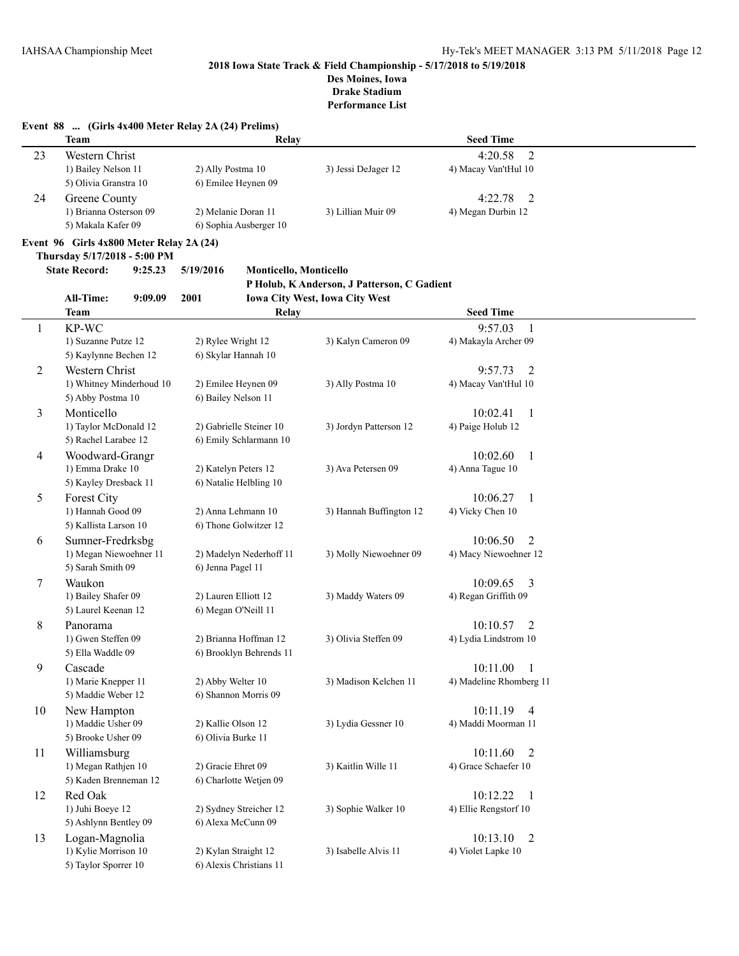|    | Event 88  (Girls 4x400 Meter Relay 2A (24) Prelims)<br><b>Team</b> | Relay                                      |                                             | <b>Seed Time</b>           |  |
|----|--------------------------------------------------------------------|--------------------------------------------|---------------------------------------------|----------------------------|--|
| 23 | Western Christ                                                     |                                            |                                             | $\overline{2}$<br>4:20.58  |  |
|    | 1) Bailey Nelson 11                                                | 2) Ally Postma 10                          | 3) Jessi DeJager 12                         | 4) Macay Van'tHul 10       |  |
|    | 5) Olivia Granstra 10                                              | 6) Emilee Heynen 09                        |                                             |                            |  |
| 24 | Greene County                                                      |                                            |                                             | $\overline{2}$<br>4:22.78  |  |
|    | 1) Brianna Osterson 09                                             | 2) Melanie Doran 11                        | 3) Lillian Muir 09                          | 4) Megan Durbin 12         |  |
|    | 5) Makala Kafer 09                                                 | 6) Sophia Ausberger 10                     |                                             |                            |  |
|    | Event 96 Girls 4x800 Meter Relay 2A (24)                           |                                            |                                             |                            |  |
|    | Thursday 5/17/2018 - 5:00 PM                                       |                                            |                                             |                            |  |
|    | <b>State Record:</b><br>9:25.23                                    | 5/19/2016<br><b>Monticello, Monticello</b> |                                             |                            |  |
|    |                                                                    |                                            | P Holub, K Anderson, J Patterson, C Gadient |                            |  |
|    | All-Time:<br>9:09.09                                               | 2001                                       | Iowa City West, Iowa City West              |                            |  |
|    | <b>Team</b>                                                        | Relay                                      |                                             | <b>Seed Time</b>           |  |
| 1  | KP-WC                                                              |                                            |                                             | $\mathbf{1}$<br>9:57.03    |  |
|    | 1) Suzanne Putze 12                                                | 2) Rylee Wright 12                         | 3) Kalyn Cameron 09                         | 4) Makayla Archer 09       |  |
|    | 5) Kaylynne Bechen 12                                              | 6) Skylar Hannah 10                        |                                             |                            |  |
| 2  | Western Christ                                                     |                                            |                                             | 9:57.73<br>2               |  |
|    | 1) Whitney Minderhoud 10                                           | 2) Emilee Heynen 09                        | 3) Ally Postma 10                           | 4) Macay Van'tHul 10       |  |
|    | 5) Abby Postma 10                                                  | 6) Bailey Nelson 11                        |                                             |                            |  |
| 3  | Monticello                                                         |                                            |                                             | 10:02.41<br>$\mathbf{1}$   |  |
|    | 1) Taylor McDonald 12                                              | 2) Gabrielle Steiner 10                    | 3) Jordyn Patterson 12                      | 4) Paige Holub 12          |  |
|    | 5) Rachel Larabee 12                                               | 6) Emily Schlarmann 10                     |                                             |                            |  |
| 4  | Woodward-Grangr                                                    |                                            |                                             | 10:02.60<br>1              |  |
|    | 1) Emma Drake 10                                                   | 2) Katelyn Peters 12                       | 3) Ava Petersen 09                          | 4) Anna Tague 10           |  |
|    | 5) Kayley Dresback 11                                              | 6) Natalie Helbling 10                     |                                             |                            |  |
| 5  | Forest City                                                        |                                            |                                             | 10:06.27<br>1              |  |
|    | 1) Hannah Good 09                                                  | 2) Anna Lehmann 10                         | 3) Hannah Buffington 12                     | 4) Vicky Chen 10           |  |
|    | 5) Kallista Larson 10                                              | 6) Thone Golwitzer 12                      |                                             |                            |  |
| 6  | Sumner-Fredrksbg                                                   |                                            |                                             | 10:06.50<br>2              |  |
|    | 1) Megan Niewoehner 11                                             | 2) Madelyn Nederhoff 11                    | 3) Molly Niewoehner 09                      | 4) Macy Niewoehner 12      |  |
|    | 5) Sarah Smith 09                                                  | 6) Jenna Pagel 11                          |                                             |                            |  |
| 7  | Waukon                                                             |                                            |                                             | 10:09.65<br>3              |  |
|    | 1) Bailey Shafer 09                                                | 2) Lauren Elliott 12                       | 3) Maddy Waters 09                          | 4) Regan Griffith 09       |  |
|    | 5) Laurel Keenan 12                                                | 6) Megan O'Neill 11                        |                                             |                            |  |
| 8  | Panorama                                                           |                                            |                                             | 10:10.57<br>2              |  |
|    | 1) Gwen Steffen 09                                                 | 2) Brianna Hoffman 12                      | 3) Olivia Steffen 09                        | 4) Lydia Lindstrom 10      |  |
|    | 5) Ella Waddle 09                                                  | 6) Brooklyn Behrends 11                    |                                             |                            |  |
| 9  | Cascade                                                            |                                            |                                             | 10:11.00<br>$\mathbf{1}$   |  |
|    | 1) Marie Knepper 11                                                | 2) Abby Welter 10                          | 3) Madison Kelchen 11                       | 4) Madeline Rhomberg 11    |  |
|    | 5) Maddie Weber 12                                                 | 6) Shannon Morris 09                       |                                             |                            |  |
| 10 | New Hampton                                                        |                                            |                                             | 10:11.19<br>$\overline{4}$ |  |
|    | 1) Maddie Usher 09                                                 | 2) Kallie Olson 12                         | 3) Lydia Gessner 10                         | 4) Maddi Moorman 11        |  |
|    | 5) Brooke Usher 09                                                 | 6) Olivia Burke 11                         |                                             |                            |  |
| 11 | Williamsburg                                                       |                                            |                                             | 10:11.60<br>2              |  |
|    | 1) Megan Rathjen 10                                                | 2) Gracie Ehret 09                         | 3) Kaitlin Wille 11                         | 4) Grace Schaefer 10       |  |
|    | 5) Kaden Brenneman 12                                              | 6) Charlotte Wetjen 09                     |                                             |                            |  |
| 12 | Red Oak                                                            |                                            |                                             | 10:12.22<br>$\mathbf{1}$   |  |
|    | 1) Juhi Boeye 12                                                   | 2) Sydney Streicher 12                     | 3) Sophie Walker 10                         | 4) Ellie Rengstorf 10      |  |
|    | 5) Ashlynn Bentley 09                                              | 6) Alexa McCunn 09                         |                                             |                            |  |
| 13 | Logan-Magnolia                                                     |                                            |                                             | 10:13.10<br>2              |  |
|    | 1) Kylie Morrison 10                                               | 2) Kylan Straight 12                       | 3) Isabelle Alvis 11                        | 4) Violet Lapke 10         |  |
|    | 5) Taylor Sporrer 10                                               | 6) Alexis Christians 11                    |                                             |                            |  |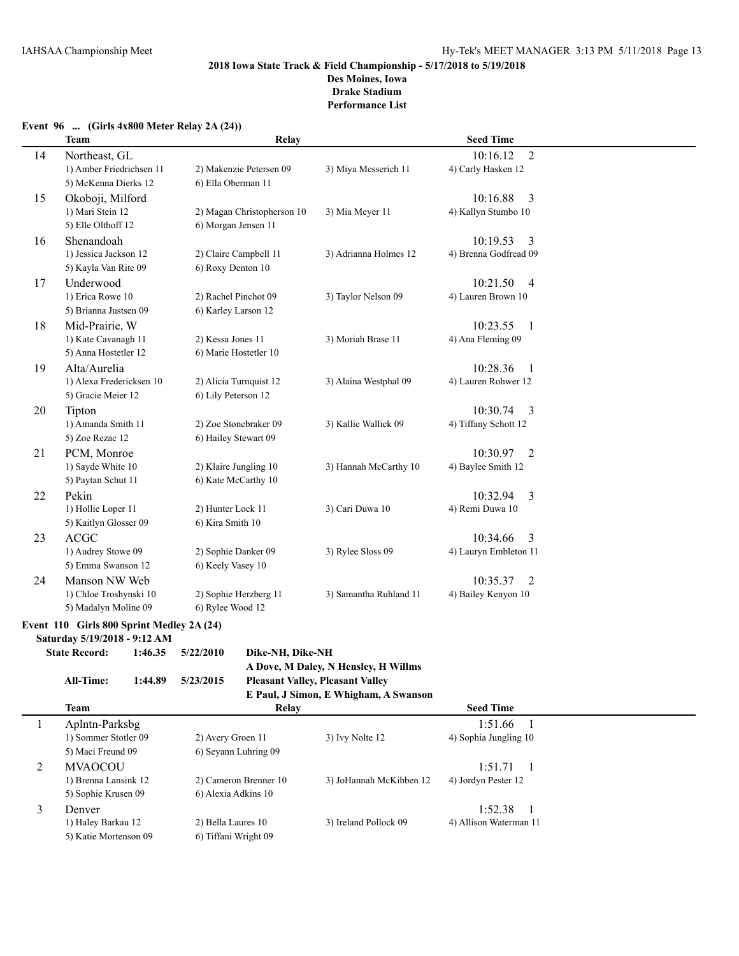**Performance List**

| Event 96  (Girls $4x800$ Meter Relay 2A (24)) |  |  |  |  |  |  |  |  |
|-----------------------------------------------|--|--|--|--|--|--|--|--|
|-----------------------------------------------|--|--|--|--|--|--|--|--|

|    | <b>Team</b>              | Relay                      |                        | <b>Seed Time</b>           |  |
|----|--------------------------|----------------------------|------------------------|----------------------------|--|
| 14 | Northeast, GL            |                            |                        | 10:16.12<br>$\overline{2}$ |  |
|    | 1) Amber Friedrichsen 11 | 2) Makenzie Petersen 09    | 3) Miya Messerich 11   | 4) Carly Hasken 12         |  |
|    | 5) McKenna Dierks 12     | 6) Ella Oberman 11         |                        |                            |  |
| 15 | Okoboji, Milford         |                            |                        | 10:16.88<br>3              |  |
|    | 1) Mari Stein 12         | 2) Magan Christopherson 10 | 3) Mia Meyer 11        | 4) Kallyn Stumbo 10        |  |
|    | 5) Elle Olthoff 12       | 6) Morgan Jensen 11        |                        |                            |  |
| 16 | Shenandoah               |                            |                        | 10:19.53<br>3              |  |
|    | 1) Jessica Jackson 12    | 2) Claire Campbell 11      | 3) Adrianna Holmes 12  | 4) Brenna Godfread 09      |  |
|    | 5) Kayla Van Rite 09     | 6) Roxy Denton 10          |                        |                            |  |
| 17 | Underwood                |                            |                        | 10:21.50<br>$\overline{4}$ |  |
|    | 1) Erica Rowe 10         | 2) Rachel Pinchot 09       | 3) Taylor Nelson 09    | 4) Lauren Brown 10         |  |
|    | 5) Brianna Justsen 09    | 6) Karley Larson 12        |                        |                            |  |
| 18 | Mid-Prairie, W           |                            |                        | 10:23.55<br>$\overline{1}$ |  |
|    | 1) Kate Cavanagh 11      | 2) Kessa Jones 11          | 3) Moriah Brase 11     | 4) Ana Fleming 09          |  |
|    | 5) Anna Hostetler 12     | 6) Marie Hostetler 10      |                        |                            |  |
| 19 | Alta/Aurelia             |                            |                        | 10:28.36<br>-1             |  |
|    | 1) Alexa Fredericksen 10 | 2) Alicia Turnquist 12     | 3) Alaina Westphal 09  | 4) Lauren Rohwer 12        |  |
|    | 5) Gracie Meier 12       | 6) Lily Peterson 12        |                        |                            |  |
| 20 | Tipton                   |                            |                        | 10:30.74<br>3              |  |
|    | 1) Amanda Smith 11       | 2) Zoe Stonebraker 09      | 3) Kallie Wallick 09   | 4) Tiffany Schott 12       |  |
|    | 5) Zoe Rezac 12          | 6) Hailey Stewart 09       |                        |                            |  |
| 21 | PCM, Monroe              |                            |                        | 10:30.97<br>2              |  |
|    | 1) Sayde White 10        | 2) Klaire Jungling 10      | 3) Hannah McCarthy 10  | 4) Baylee Smith 12         |  |
|    | 5) Paytan Schut 11       | 6) Kate McCarthy 10        |                        |                            |  |
| 22 | Pekin                    |                            |                        | 10:32.94<br>3              |  |
|    | 1) Hollie Loper 11       | 2) Hunter Lock 11          | 3) Cari Duwa 10        | 4) Remi Duwa 10            |  |
|    | 5) Kaitlyn Glosser 09    | 6) Kira Smith 10           |                        |                            |  |
| 23 | <b>ACGC</b>              |                            |                        | 3<br>10:34.66              |  |
|    | 1) Audrey Stowe 09       | 2) Sophie Danker 09        | 3) Rylee Sloss 09      | 4) Lauryn Embleton 11      |  |
|    | 5) Emma Swanson 12       | 6) Keely Vasey 10          |                        |                            |  |
| 24 | Manson NW Web            |                            |                        | 10:35.37<br>2              |  |
|    | 1) Chloe Troshynski 10   | 2) Sophie Herzberg 11      | 3) Samantha Ruhland 11 | 4) Bailey Kenyon 10        |  |
|    | 5) Madalyn Moline 09     | 6) Rylee Wood 12           |                        |                            |  |

## **Event 110 Girls 800 Sprint Medley 2A (24)**

**Saturday 5/19/2018 - 9:12 AM**

**State Record: 1:46.35 5/22/2010 Dike-NH, Dike-NH**

```
A Dove, M Daley, N Hensley, H Willms
```

```
All-Time: 1:44.89 5/23/2015 Pleasant Valley, Pleasant Valley
```

|                                          | E Paul, J Simon, E Whigham, A Swanson |                       |                         |                        |  |  |  |  |
|------------------------------------------|---------------------------------------|-----------------------|-------------------------|------------------------|--|--|--|--|
| <b>Team</b><br><b>Seed Time</b><br>Relay |                                       |                       |                         |                        |  |  |  |  |
|                                          | Aplntn-Parksbg                        |                       |                         | 1:51.66                |  |  |  |  |
|                                          | 1) Sommer Stotler 09                  | 2) Avery Groen 11     | 3) Ivy Nolte 12         | 4) Sophia Jungling 10  |  |  |  |  |
|                                          | 5) Maci Freund 09                     | 6) Seyann Luhring 09  |                         |                        |  |  |  |  |
|                                          | <b>MVAOCOU</b>                        |                       |                         | 1:51.71                |  |  |  |  |
|                                          | 1) Brenna Lansink 12                  | 2) Cameron Brenner 10 | 3) JoHannah McKibben 12 | 4) Jordyn Pester 12    |  |  |  |  |
|                                          | 5) Sophie Krusen 09                   | 6) Alexia Adkins 10   |                         |                        |  |  |  |  |
| 3                                        | Denver                                |                       |                         | 1:52.38                |  |  |  |  |
|                                          | 1) Haley Barkau 12                    | 2) Bella Laures 10    | 3) Ireland Pollock 09   | 4) Allison Waterman 11 |  |  |  |  |
|                                          | 5) Katie Mortenson 09                 | 6) Tiffani Wright 09  |                         |                        |  |  |  |  |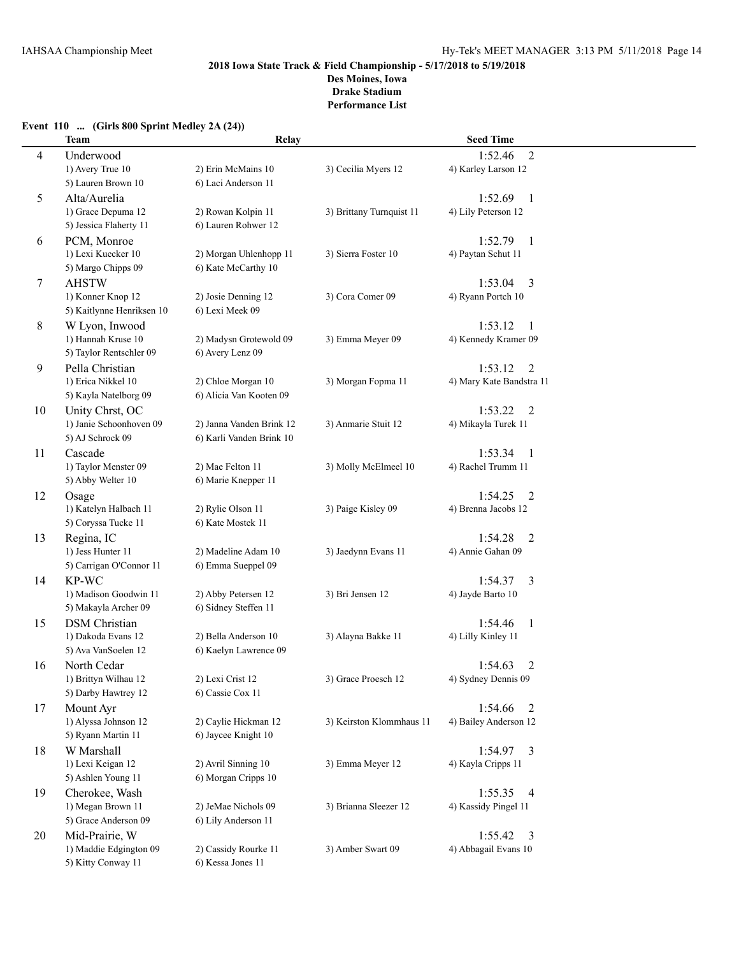**Drake Stadium**

**Performance List**

## **Team Relay Seed Time** 4 Underwood 1:52.46 2 1) Avery True 10 2) Erin McMains 10 3) Cecilia Myers 12 4) Karley Larson 12 5) Lauren Brown 10 6) Laci Anderson 11 5 Alta/Aurelia 1:52.69 1 1) Grace Depuma 12 2) Rowan Kolpin 11 3) Brittany Turnquist 11 4) Lily Peterson 12 5) Jessica Flaherty 11 6) Lauren Rohwer 12 6 PCM, Monroe 1:52.79 1 1) Lexi Kuecker 10 2) Morgan Uhlenhopp 11 3) Sierra Foster 10 4) Paytan Schut 11 5) Margo Chipps 09 6) Kate McCarthy 10 7 AHSTW 1:53.04 3 1) Konner Knop 12 2) Josie Denning 12 3) Cora Comer 09 4) Ryann Portch 10 5) Kaitlynne Henriksen 10 6) Lexi Meek 09 8 W Lyon, Inwood 1:53.12 1 1) Hannah Kruse 10 2) Madysn Grotewold 09 3) Emma Meyer 09 4) Kennedy Kramer 09 5) Taylor Rentschler 09 6) Avery Lenz 09 9 Pella Christian 1:53.12 2 1) Erica Nikkel 10 2) Chloe Morgan 10 3) Morgan Fopma 11 4) Mary Kate Bandstra 11 5) Kayla Natelborg 09 6) Alicia Van Kooten 09 10 Unity Chrst, OC 1:53.22 2 1) Janie Schoonhoven 09 2) Janna Vanden Brink 12 3) Anmarie Stuit 12 4) Mikayla Turek 11 5) AJ Schrock 09 6) Karli Vanden Brink 10 11 Cascade 1:53.34 1 1) Taylor Menster 09 2) Mae Felton 11 3) Molly McElmeel 10 4) Rachel Trumm 11 5) Abby Welter 10 6) Marie Knepper 11 12 Osage 1:54.25 2 1) Katelyn Halbach 11 2) Rylie Olson 11 3) Paige Kisley 09 4) Brenna Jacobs 12 5) Coryssa Tucke 11 6) Kate Mostek 11 13 Regina, IC 1:54.28 2 1) Jess Hunter 11 2) Madeline Adam 10 3) Jaedynn Evans 11 4) Annie Gahan 09 5) Carrigan O'Connor 11 6) Emma Sueppel 09 14 KP-WC 1:54.37 3 1) Madison Goodwin 11 2) Abby Petersen 12 3) Bri Jensen 12 4) Jayde Barto 10 5) Makayla Archer 09 6) Sidney Steffen 11 15 DSM Christian 1:54.46 1 1) Dakoda Evans 12 2) Bella Anderson 10 3) Alayna Bakke 11 4) Lilly Kinley 11 5) Ava VanSoelen 12 6) Kaelyn Lawrence 09 16 North Cedar 1:54.63 2 1) Brittyn Wilhau 12 2) Lexi Crist 12 3) Grace Proesch 12 4) Sydney Dennis 09 5) Darby Hawtrey 12 6) Cassie Cox 11 17 Mount Ayr 1:54.66 2 1) Alyssa Johnson 12 2) Caylie Hickman 12 3) Keirston Klommhaus 11 4) Bailey Anderson 12 5) Ryann Martin 11 6) Jaycee Knight 10 18 W Marshall 1:54.97 3 1) Lexi Keigan 12 2) Avril Sinning 10 3) Emma Meyer 12 4) Kayla Cripps 11 5) Ashlen Young 11 6) Morgan Cripps 10 19 Cherokee, Wash 1:55.35 4 1) Megan Brown 11 2) JeMae Nichols 09 3) Brianna Sleezer 12 4) Kassidy Pingel 11 5) Grace Anderson 09 6) Lily Anderson 11 20 Mid-Prairie, W 1:55.42 3<br>1) Maddie Edgington 09 2) Cassidy Rourke 11 3) Amber Swart 09 4) Abbagail Evans 10 1) Maddie Edgington 09 5) Kitty Conway 11 6) Kessa Jones 11

#### **Event 110 ... (Girls 800 Sprint Medley 2A (24))**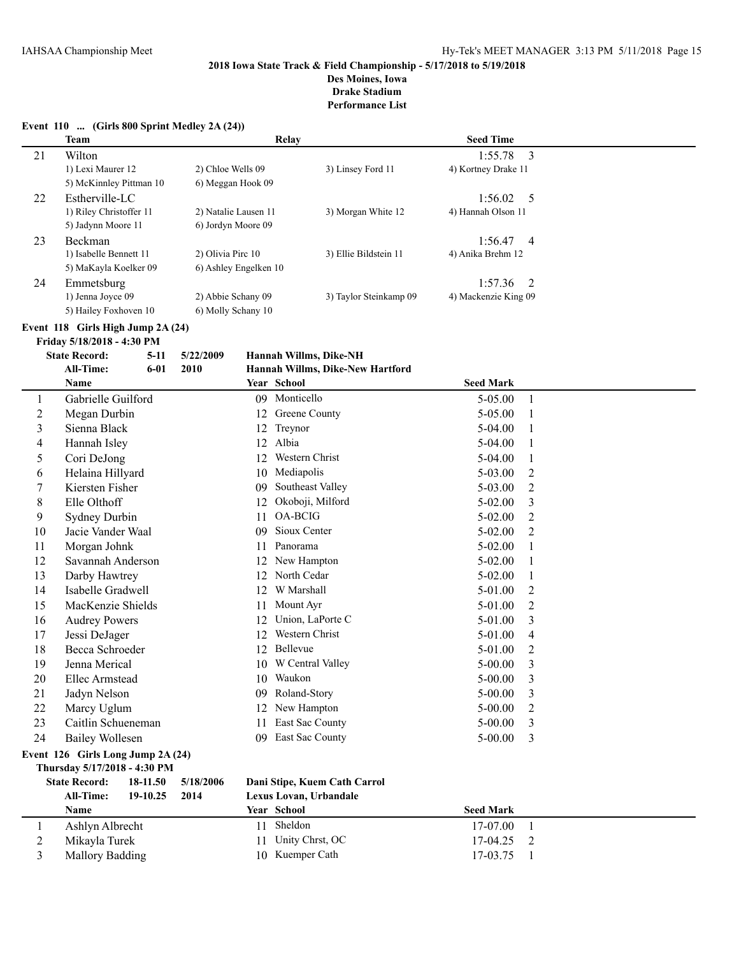**Drake Stadium**

|                | Event 110  (Girls 800 Sprint Medley 2A (24))<br>Team |                       |    | Relay                            | <b>Seed Time</b>              |                |
|----------------|------------------------------------------------------|-----------------------|----|----------------------------------|-------------------------------|----------------|
|                |                                                      |                       |    |                                  |                               |                |
| 21             | Wilton<br>1) Lexi Maurer 12                          | 2) Chloe Wells 09     |    | 3) Linsey Ford 11                | 1:55.78                       | 3              |
|                | 5) McKinnley Pittman 10                              | 6) Meggan Hook 09     |    |                                  | 4) Kortney Drake 11           |                |
|                |                                                      |                       |    |                                  |                               |                |
| 22             | Estherville-LC<br>1) Riley Christoffer 11            | 2) Natalie Lausen 11  |    | 3) Morgan White 12               | 1:56.02<br>4) Hannah Olson 11 | 5              |
|                | 5) Jadynn Moore 11                                   | 6) Jordyn Moore 09    |    |                                  |                               |                |
|                | Beckman                                              |                       |    |                                  | 1:56.47                       |                |
| 23             | 1) Isabelle Bennett 11                               | 2) Olivia Pirc 10     |    | 3) Ellie Bildstein 11            | 4) Anika Brehm 12             | 4              |
|                | 5) MaKayla Koelker 09                                | 6) Ashley Engelken 10 |    |                                  |                               |                |
| 24             | Emmetsburg                                           |                       |    |                                  | 1:57.36                       | 2              |
|                | 1) Jenna Joyce 09                                    | 2) Abbie Schany 09    |    | 3) Taylor Steinkamp 09           | 4) Mackenzie King 09          |                |
|                | 5) Hailey Foxhoven 10                                | 6) Molly Schany 10    |    |                                  |                               |                |
|                | Event 118 Girls High Jump 2A (24)                    |                       |    |                                  |                               |                |
|                | Friday 5/18/2018 - 4:30 PM                           |                       |    |                                  |                               |                |
|                | <b>State Record:</b><br>$5 - 11$                     | 5/22/2009             |    | Hannah Willms, Dike-NH           |                               |                |
|                | All-Time:<br>$6 - 01$                                | 2010                  |    | Hannah Willms, Dike-New Hartford |                               |                |
|                | Name                                                 |                       |    | Year School                      | <b>Seed Mark</b>              |                |
| 1              | Gabrielle Guilford                                   |                       |    | 09 Monticello                    | 5-05.00                       | 1              |
| $\overline{c}$ | Megan Durbin                                         |                       |    | 12 Greene County                 | 5-05.00                       | 1              |
| 3              | Sienna Black                                         |                       | 12 | Treynor                          | 5-04.00                       | 1              |
| 4              | Hannah Isley                                         |                       | 12 | Albia                            | 5-04.00                       | 1              |
| 5              | Cori DeJong                                          |                       | 12 | Western Christ                   | 5-04.00                       | 1              |
| 6              | Helaina Hillyard                                     |                       | 10 | Mediapolis                       | 5-03.00                       | 2              |
| 7              | Kiersten Fisher                                      |                       | 09 | Southeast Valley                 | 5-03.00                       | $\overline{c}$ |
| 8              | Elle Olthoff                                         |                       | 12 | Okoboji, Milford                 | $5 - 02.00$                   | 3              |
| 9              | <b>Sydney Durbin</b>                                 |                       | 11 | OA-BCIG                          | 5-02.00                       | 2              |
| 10             | Jacie Vander Waal                                    |                       | 09 | Sioux Center                     | 5-02.00                       | 2              |
| 11             | Morgan Johnk                                         |                       | 11 | Panorama                         | 5-02.00                       | 1              |
| 12             | Savannah Anderson                                    |                       | 12 | New Hampton                      | $5 - 02.00$                   | 1              |
| 13             | Darby Hawtrey                                        |                       | 12 | North Cedar                      | $5 - 02.00$                   | 1              |
| 14             | Isabelle Gradwell                                    |                       | 12 | W Marshall                       | 5-01.00                       | 2              |
| 15             | MacKenzie Shields                                    |                       | 11 | Mount Ayr                        | 5-01.00                       | $\overline{2}$ |
| 16             | <b>Audrey Powers</b>                                 |                       | 12 | Union, LaPorte C                 | 5-01.00                       | 3              |
| 17             | Jessi DeJager                                        |                       | 12 | Western Christ                   | 5-01.00                       | 4              |
| 18             | Becca Schroeder                                      |                       |    | 12 Bellevue                      | 5-01.00                       | $\overline{2}$ |
| 19             | Jenna Merical                                        |                       |    | 10 W Central Valley              | $5 - 00.00$                   | 3              |
| 20             | <b>Ellec Armstead</b>                                |                       |    | 10 Waukon                        | $5 - 00.00$                   | 3              |
| 21             | Jadyn Nelson                                         |                       | 09 | Roland-Story                     | $5 - 00.00$                   | 3              |
| 22             | Marcy Uglum                                          |                       | 12 | New Hampton                      | $5 - 00.00$                   | 2              |
| 23             | Caitlin Schueneman                                   |                       | 11 | East Sac County                  | $5 - 00.00$                   | 3              |
| 24             | <b>Bailey Wollesen</b>                               |                       |    | 09 East Sac County               | $5 - 00.00$                   | 3              |
|                | Event 126 Girls Long Jump 2A (24)                    |                       |    |                                  |                               |                |
|                | Thursday 5/17/2018 - 4:30 PM                         |                       |    |                                  |                               |                |
|                | <b>State Record:</b><br>18-11.50                     | 5/18/2006             |    | Dani Stipe, Kuem Cath Carrol     |                               |                |
|                | <b>All-Time:</b><br>19-10.25                         | 2014                  |    | Lexus Lovan, Urbandale           |                               |                |
|                | Name                                                 |                       |    | Year School                      | <b>Seed Mark</b>              |                |
| 1              | Ashlyn Albrecht                                      |                       | 11 | Sheldon                          | 17-07.00                      | $\mathbf{1}$   |
| $\overline{c}$ | Mikayla Turek                                        |                       | 11 | Unity Chrst, OC                  | 17-04.25                      | 2              |
| 3              | Mallory Badding                                      |                       |    | 10 Kuemper Cath                  | 17-03.75                      | -1             |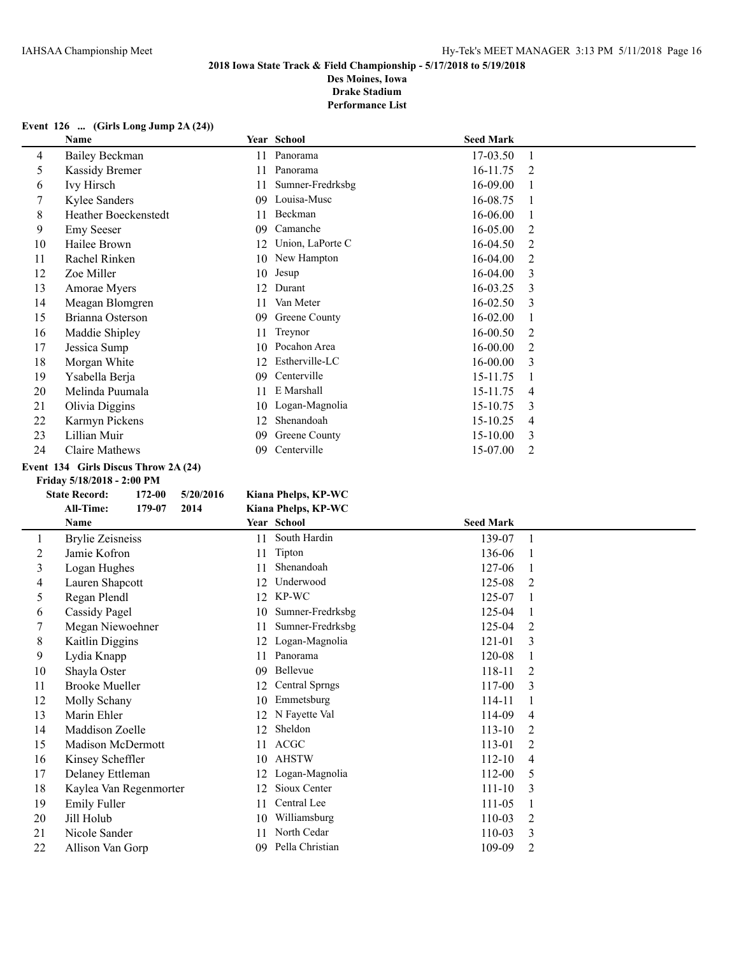**Des Moines, Iowa Drake Stadium**

**Performance List**

# **Event 126 ... (Girls Long Jump 2A (24))**

|    | Name                        |     | Year School      | <b>Seed Mark</b> |                |
|----|-----------------------------|-----|------------------|------------------|----------------|
| 4  | <b>Bailey Beckman</b>       | 11  | Panorama         | 17-03.50         |                |
| 5  | Kassidy Bremer              | 11  | Panorama         | 16-11.75         | 2              |
| 6  | <b>Ivy Hirsch</b>           | 11  | Sumner-Fredrksbg | 16-09.00         |                |
| 7  | Kylee Sanders               | 09  | Louisa-Musc      | 16-08.75         |                |
| 8  | <b>Heather Boeckenstedt</b> | 11  | Beckman          | 16-06.00         |                |
| 9  | <b>Emy Seeser</b>           | 09  | Camanche         | $16 - 05.00$     | 2              |
| 10 | Hailee Brown                | 12  | Union, LaPorte C | 16-04.50         | 2              |
| 11 | Rachel Rinken               | 10  | New Hampton      | 16-04.00         | 2              |
| 12 | Zoe Miller                  | 10  | Jesup            | $16-04.00$       | 3              |
| 13 | Amorae Myers                | 12  | Durant           | 16-03.25         | 3              |
| 14 | Meagan Blomgren             | 11  | Van Meter        | 16-02.50         | 3              |
| 15 | Brianna Osterson            | 09  | Greene County    | 16-02.00         |                |
| 16 | Maddie Shipley              | 11  | Treynor          | 16-00.50         | 2              |
| 17 | Jessica Sump                | 10. | Pocahon Area     | 16-00.00         | 2              |
| 18 | Morgan White                | 12  | Estherville-LC   | $16 - 00.00$     | 3              |
| 19 | Ysabella Berja              | 09  | Centerville      | 15-11.75         |                |
| 20 | Melinda Puumala             | 11  | E Marshall       | 15-11.75         | $\overline{4}$ |
| 21 | Olivia Diggins              | 10  | Logan-Magnolia   | 15-10.75         | 3              |
| 22 | Karmyn Pickens              | 12  | Shenandoah       | 15-10.25         | 4              |
| 23 | Lillian Muir                | 09  | Greene County    | $15 - 10.00$     | 3              |
| 24 | Claire Mathews              | 09  | Centerville      | 15-07.00         | $\overline{2}$ |

#### **Event 134 Girls Discus Throw 2A (24)**

**State Record: 172-00 5/20/2016** 

#### **Friday 5/18/2018 - 2:00 PM**

| te Record:       | 172-00 | 5/20/2016 | Kiana Phelps, KP-WC |
|------------------|--------|-----------|---------------------|
| <b>All-Time:</b> | 179-07 | 2014      | Kiana Phelps, KP-WC |

|         | Name                     |    | Year School           | <b>Seed Mark</b> |                |
|---------|--------------------------|----|-----------------------|------------------|----------------|
| $\perp$ | <b>Brylie Zeisneiss</b>  | 11 | South Hardin          | 139-07           |                |
| 2       | Jamie Kofron             | 11 | Tipton                | 136-06           |                |
| 3       | Logan Hughes             | 11 | Shenandoah            | 127-06           |                |
| 4       | Lauren Shapcott          | 12 | Underwood             | 125-08           | 2              |
| 5       | Regan Plendl             | 12 | KP-WC                 | 125-07           |                |
| 6       | Cassidy Pagel            | 10 | Sumner-Fredrksbg      | 125-04           |                |
| 7       | Megan Niewoehner         | 11 | Sumner-Fredrksbg      | 125-04           | $\overline{2}$ |
| 8       | Kaitlin Diggins          | 12 | Logan-Magnolia        | 121-01           | 3              |
| 9       | Lydia Knapp              | 11 | Panorama              | 120-08           |                |
| 10      | Shayla Oster             | 09 | Bellevue              | 118-11           | 2              |
| 11      | <b>Brooke Mueller</b>    | 12 | <b>Central Sprngs</b> | 117-00           | 3              |
| 12      | Molly Schany             | 10 | Emmetsburg            | 114-11           |                |
| 13      | Marin Ehler              | 12 | N Fayette Val         | 114-09           | 4              |
| 14      | Maddison Zoelle          | 12 | Sheldon               | $113 - 10$       | 2              |
| 15      | <b>Madison McDermott</b> | 11 | ACGC                  | 113-01           | $\overline{2}$ |
| 16      | Kinsey Scheffler         | 10 | <b>AHSTW</b>          | $112 - 10$       | 4              |
| 17      | Delaney Ettleman         | 12 | Logan-Magnolia        | 112-00           | 5              |
| 18      | Kaylea Van Regenmorter   | 12 | Sioux Center          | $111 - 10$       | 3              |
| 19      | <b>Emily Fuller</b>      | 11 | Central Lee           | 111-05           |                |
| 20      | Jill Holub               | 10 | Williamsburg          | 110-03           | $\overline{2}$ |
| 21      | Nicole Sander            | 11 | North Cedar           | 110-03           | 3              |
| 22      | Allison Van Gorp         | 09 | Pella Christian       | 109-09           | $\overline{c}$ |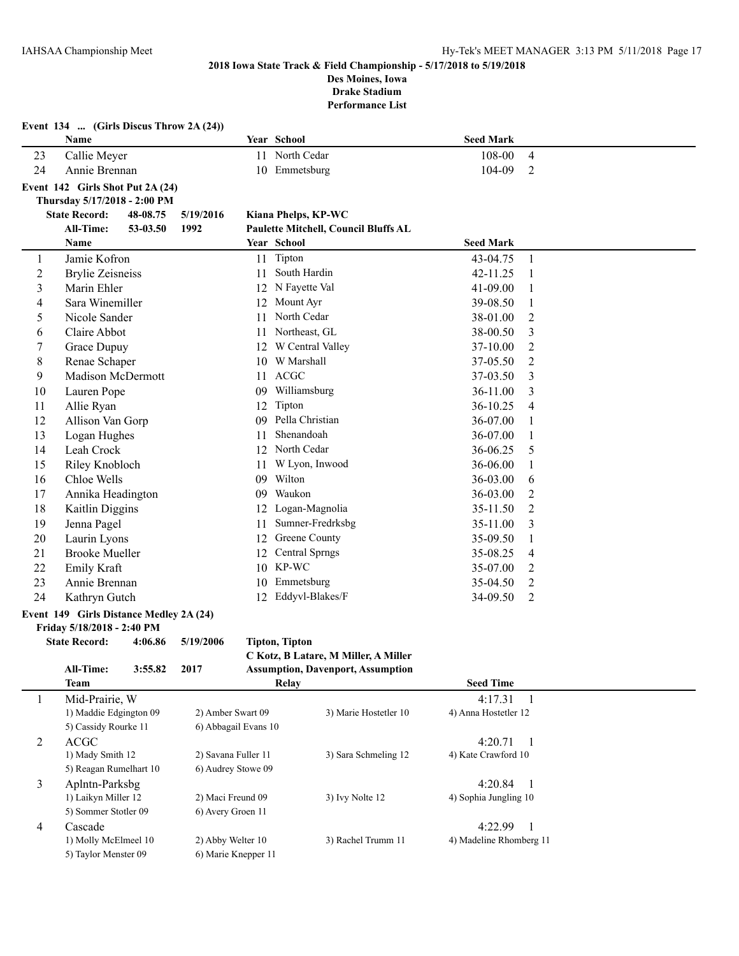**Event 134 ... (Girls Discus Throw 2A (24))**

#### **2018 Iowa State Track & Field Championship - 5/17/2018 to 5/19/2018 Des Moines, Iowa**

**Drake Stadium**

|                                            | Name                                                    |          |                                           |                                      | Year School                              | <b>Seed Mark</b>                 |                |
|--------------------------------------------|---------------------------------------------------------|----------|-------------------------------------------|--------------------------------------|------------------------------------------|----------------------------------|----------------|
| 23                                         | Callie Meyer                                            |          |                                           |                                      | 11 North Cedar                           | 108-00                           | 4              |
| 24                                         | Annie Brennan                                           |          |                                           |                                      | 10 Emmetsburg                            | 104-09                           | 2              |
|                                            | Event 142 Girls Shot Put 2A (24)                        |          |                                           |                                      |                                          |                                  |                |
|                                            | Thursday 5/17/2018 - 2:00 PM                            |          |                                           |                                      |                                          |                                  |                |
|                                            | <b>State Record:</b>                                    | 48-08.75 | 5/19/2016                                 |                                      | Kiana Phelps, KP-WC                      |                                  |                |
|                                            | All-Time:                                               | 53-03.50 | 1992                                      |                                      | Paulette Mitchell, Council Bluffs AL     |                                  |                |
|                                            | Name                                                    |          |                                           |                                      | Year School                              | <b>Seed Mark</b>                 |                |
| $\mathbf{1}$                               | Jamie Kofron                                            |          |                                           |                                      | 11 Tipton                                | 43-04.75                         | 1              |
| $\overline{2}$                             | <b>Brylie Zeisneiss</b>                                 |          |                                           | 11                                   | South Hardin                             | 42-11.25                         | 1              |
| $\mathfrak{Z}$                             | Marin Ehler                                             |          |                                           |                                      | 12 N Fayette Val                         | 41-09.00                         | 1              |
| 4                                          | Sara Winemiller                                         |          |                                           | 12                                   | Mount Ayr                                | 39-08.50                         | 1              |
| 5                                          | Nicole Sander                                           |          |                                           | 11                                   | North Cedar                              | 38-01.00                         | 2              |
| 6                                          | Claire Abbot                                            |          |                                           | 11                                   | Northeast, GL                            | 38-00.50                         | 3              |
| 7                                          | Grace Dupuy                                             |          |                                           | 12                                   | W Central Valley                         | 37-10.00                         | 2              |
| 8                                          | Renae Schaper                                           |          |                                           | 10                                   | W Marshall                               | 37-05.50                         | 2              |
| 9                                          | <b>Madison McDermott</b>                                |          |                                           | 11                                   | <b>ACGC</b>                              | 37-03.50                         | 3              |
| 10                                         | Lauren Pope                                             |          |                                           | 09                                   | Williamsburg                             | 36-11.00                         | 3              |
| 11                                         | Allie Ryan                                              |          |                                           | 12                                   | Tipton                                   | 36-10.25                         | 4              |
| 12                                         | Allison Van Gorp                                        |          |                                           | 09                                   | Pella Christian                          | 36-07.00                         | 1              |
| 13                                         | Logan Hughes                                            |          |                                           | 11                                   | Shenandoah                               | 36-07.00                         | 1              |
| 14                                         | Leah Crock                                              |          |                                           |                                      | 12 North Cedar                           | 36-06.25                         | 5              |
| 15                                         | Riley Knobloch                                          |          |                                           | 11                                   | W Lyon, Inwood                           | 36-06.00                         | 1              |
| 16                                         | Chloe Wells                                             |          |                                           |                                      | 09 Wilton                                | 36-03.00                         | 6              |
| 17                                         | Annika Headington                                       |          |                                           |                                      | 09 Waukon                                | 36-03.00                         | 2              |
| 18                                         | Kaitlin Diggins                                         |          |                                           |                                      | 12 Logan-Magnolia                        | 35-11.50                         | 2              |
| 19                                         | Jenna Pagel                                             |          |                                           | 11                                   | Sumner-Fredrksbg                         | 35-11.00                         | 3              |
| 20                                         | Laurin Lyons                                            |          |                                           | 12                                   | Greene County                            | 35-09.50                         | 1              |
| 21                                         | <b>Brooke Mueller</b>                                   |          |                                           | 12                                   | <b>Central Sprngs</b>                    | 35-08.25                         | 4              |
| 22                                         | Emily Kraft                                             |          |                                           |                                      | 10 KP-WC                                 | 35-07.00                         | 2              |
| 23                                         | Annie Brennan                                           |          |                                           | 10                                   | Emmetsburg                               | 35-04.50                         | $\overline{c}$ |
| 24                                         | Kathryn Gutch                                           |          |                                           | 12                                   | Eddyvl-Blakes/F                          | 34-09.50                         | 2              |
|                                            | Event 149 Girls Distance Medley 2A (24)                 |          |                                           |                                      |                                          |                                  |                |
|                                            | Friday 5/18/2018 - 2:40 PM                              |          |                                           |                                      |                                          |                                  |                |
|                                            | <b>State Record:</b>                                    | 4:06.86  | 5/19/2006                                 |                                      | <b>Tipton, Tipton</b>                    |                                  |                |
|                                            |                                                         |          |                                           | C Kotz, B Latare, M Miller, A Miller |                                          |                                  |                |
|                                            | All-Time:                                               | 3:55.82  | 2017                                      |                                      | <b>Assumption, Davenport, Assumption</b> |                                  |                |
|                                            | <b>Team</b>                                             |          |                                           |                                      | Relay                                    | <b>Seed Time</b>                 |                |
| 1                                          | Mid-Prairie, W                                          |          |                                           |                                      |                                          | 4:17.31                          | 1              |
|                                            | 1) Maddie Edgington 09<br>5) Cassidy Rourke 11          |          | 2) Amber Swart 09                         |                                      | 3) Marie Hostetler 10                    | 4) Anna Hostetler 12             |                |
|                                            |                                                         |          | 6) Abbagail Evans 10                      |                                      |                                          |                                  |                |
| $\overline{2}$                             | <b>ACGC</b>                                             |          |                                           |                                      | 3) Sara Schmeling 12                     | 4:20.71<br>4) Kate Crawford 10   | $\mathbf{1}$   |
| 1) Mady Smith 12<br>5) Reagan Rumelhart 10 |                                                         |          | 2) Savana Fuller 11<br>6) Audrey Stowe 09 |                                      |                                          |                                  |                |
|                                            |                                                         |          |                                           |                                      |                                          |                                  |                |
|                                            | $\mathfrak{Z}$<br>Aplntn-Parksbg<br>1) Laikyn Miller 12 |          |                                           | 2) Maci Freund 09<br>3) Ivy Nolte 12 |                                          | 4:20.84<br>4) Sophia Jungling 10 | -1             |
|                                            | 5) Sommer Stotler 09                                    |          | 6) Avery Groen 11                         |                                      |                                          |                                  |                |
| $\overline{4}$                             | Cascade                                                 |          |                                           |                                      |                                          | 4:22.99                          | 1              |
|                                            | 1) Molly McElmeel 10                                    |          | 2) Abby Welter 10                         |                                      | 3) Rachel Trumm 11                       | 4) Madeline Rhomberg 11          |                |
|                                            | 5) Taylor Menster 09                                    |          | 6) Marie Knepper 11                       |                                      |                                          |                                  |                |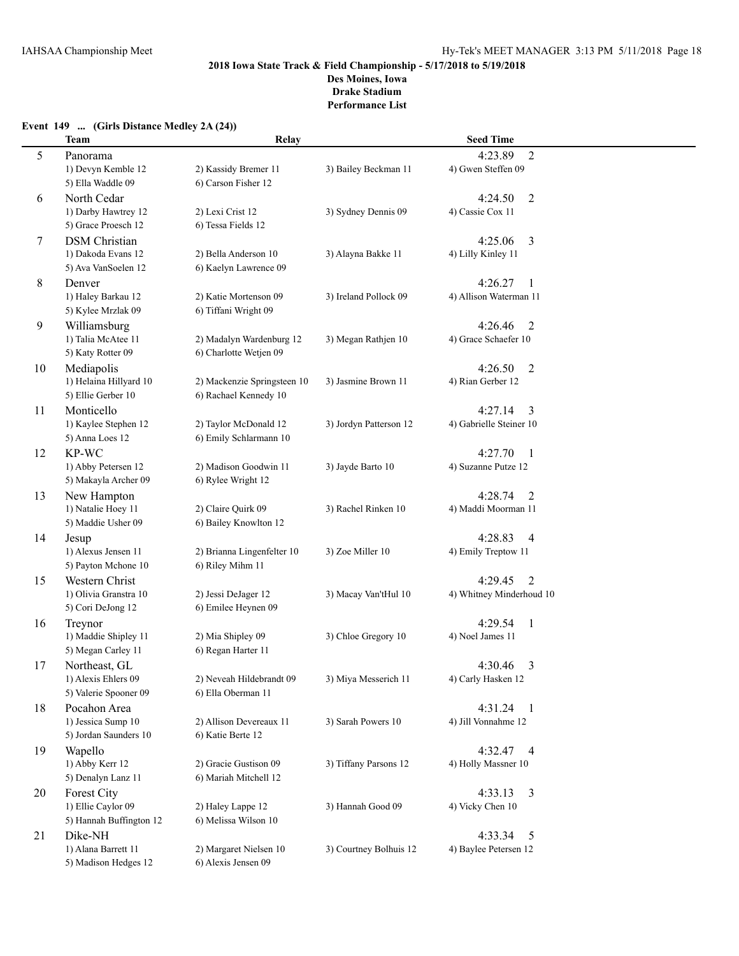**Drake Stadium Performance List**

## **Event 149 ... (Girls Distance Medley 2A (24))**

|    | <b>Team</b>             | Relay                       |                        | <b>Seed Time</b>          |  |
|----|-------------------------|-----------------------------|------------------------|---------------------------|--|
| 5  | Panorama                |                             |                        | 4:23.89<br>$\overline{2}$ |  |
|    | 1) Devyn Kemble 12      | 2) Kassidy Bremer 11        | 3) Bailey Beckman 11   | 4) Gwen Steffen 09        |  |
|    | 5) Ella Waddle 09       | 6) Carson Fisher 12         |                        |                           |  |
| 6  | North Cedar             |                             |                        | $\overline{2}$<br>4:24.50 |  |
|    | 1) Darby Hawtrey 12     | 2) Lexi Crist 12            | 3) Sydney Dennis 09    | 4) Cassie Cox 11          |  |
|    | 5) Grace Proesch 12     | 6) Tessa Fields 12          |                        |                           |  |
| 7  | <b>DSM</b> Christian    |                             |                        | 4:25.06<br>3              |  |
|    | 1) Dakoda Evans 12      | 2) Bella Anderson 10        | 3) Alayna Bakke 11     | 4) Lilly Kinley 11        |  |
|    | 5) Ava VanSoelen 12     | 6) Kaelyn Lawrence 09       |                        |                           |  |
| 8  | Denver                  |                             |                        | 4:26.27<br>1              |  |
|    | 1) Haley Barkau 12      | 2) Katie Mortenson 09       | 3) Ireland Pollock 09  | 4) Allison Waterman 11    |  |
|    | 5) Kylee Mrzlak 09      | 6) Tiffani Wright 09        |                        |                           |  |
| 9  | Williamsburg            |                             |                        | 4:26.46<br>$\overline{2}$ |  |
|    | 1) Talia McAtee 11      | 2) Madalyn Wardenburg 12    | 3) Megan Rathjen 10    | 4) Grace Schaefer 10      |  |
|    | 5) Katy Rotter 09       | 6) Charlotte Wetjen 09      |                        |                           |  |
| 10 | Mediapolis              |                             |                        | 4:26.50<br>$\overline{2}$ |  |
|    | 1) Helaina Hillyard 10  | 2) Mackenzie Springsteen 10 | 3) Jasmine Brown 11    | 4) Rian Gerber 12         |  |
|    | 5) Ellie Gerber 10      | 6) Rachael Kennedy 10       |                        |                           |  |
| 11 | Monticello              |                             |                        | 4:27.14<br>3              |  |
|    | 1) Kaylee Stephen 12    | 2) Taylor McDonald 12       | 3) Jordyn Patterson 12 | 4) Gabrielle Steiner 10   |  |
|    | 5) Anna Loes 12         | 6) Emily Schlarmann 10      |                        |                           |  |
| 12 | KP-WC                   |                             |                        | 4:27.70<br>1              |  |
|    | 1) Abby Petersen 12     | 2) Madison Goodwin 11       | 3) Jayde Barto 10      | 4) Suzanne Putze 12       |  |
|    | 5) Makayla Archer 09    | 6) Rylee Wright 12          |                        |                           |  |
| 13 | New Hampton             |                             |                        | 4:28.74<br>2              |  |
|    | 1) Natalie Hoey 11      | 2) Claire Quirk 09          | 3) Rachel Rinken 10    | 4) Maddi Moorman 11       |  |
|    | 5) Maddie Usher 09      | 6) Bailey Knowlton 12       |                        |                           |  |
| 14 | Jesup                   |                             |                        | 4:28.83<br>4              |  |
|    | 1) Alexus Jensen 11     | 2) Brianna Lingenfelter 10  | 3) Zoe Miller 10       | 4) Emily Treptow 11       |  |
|    | 5) Payton Mchone 10     | 6) Riley Mihm 11            |                        |                           |  |
| 15 | Western Christ          |                             |                        | 4:29.45<br>$\overline{2}$ |  |
|    | 1) Olivia Granstra 10   | 2) Jessi DeJager 12         | 3) Macay Van'tHul 10   | 4) Whitney Minderhoud 10  |  |
|    | 5) Cori DeJong 12       | 6) Emilee Heynen 09         |                        |                           |  |
| 16 | Treynor                 |                             |                        | 4:29.54<br>$\mathbf{1}$   |  |
|    | 1) Maddie Shipley 11    | 2) Mia Shipley 09           | 3) Chloe Gregory 10    | 4) Noel James 11          |  |
|    | 5) Megan Carley 11      | 6) Regan Harter 11          |                        |                           |  |
| 17 | Northeast, GL           |                             |                        | 4:30.46<br>3              |  |
|    | 1) Alexis Ehlers 09     | 2) Neveah Hildebrandt 09    | 3) Miya Messerich 11   | 4) Carly Hasken 12        |  |
|    | 5) Valerie Spooner 09   | 6) Ella Oberman 11          |                        |                           |  |
| 18 | Pocahon Area            |                             |                        | 4:31.24<br>$\overline{1}$ |  |
|    | 1) Jessica Sump 10      | 2) Allison Devereaux 11     | 3) Sarah Powers 10     | 4) Jill Vonnahme 12       |  |
|    | 5) Jordan Saunders 10   | 6) Katie Berte 12           |                        |                           |  |
| 19 | Wapello                 |                             |                        | 4:32.47 4                 |  |
|    | 1) Abby Kerr 12         | 2) Gracie Gustison 09       | 3) Tiffany Parsons 12  | 4) Holly Massner 10       |  |
|    | 5) Denalyn Lanz 11      | 6) Mariah Mitchell 12       |                        |                           |  |
| 20 | <b>Forest City</b>      |                             |                        | 4:33.13<br>3              |  |
|    | 1) Ellie Caylor 09      | 2) Haley Lappe 12           | 3) Hannah Good 09      | 4) Vicky Chen 10          |  |
|    | 5) Hannah Buffington 12 | 6) Melissa Wilson 10        |                        |                           |  |
| 21 | Dike-NH                 |                             |                        | 4:33.34<br>5              |  |
|    | 1) Alana Barrett 11     | 2) Margaret Nielsen 10      | 3) Courtney Bolhuis 12 | 4) Baylee Petersen 12     |  |
|    | 5) Madison Hedges 12    | 6) Alexis Jensen 09         |                        |                           |  |